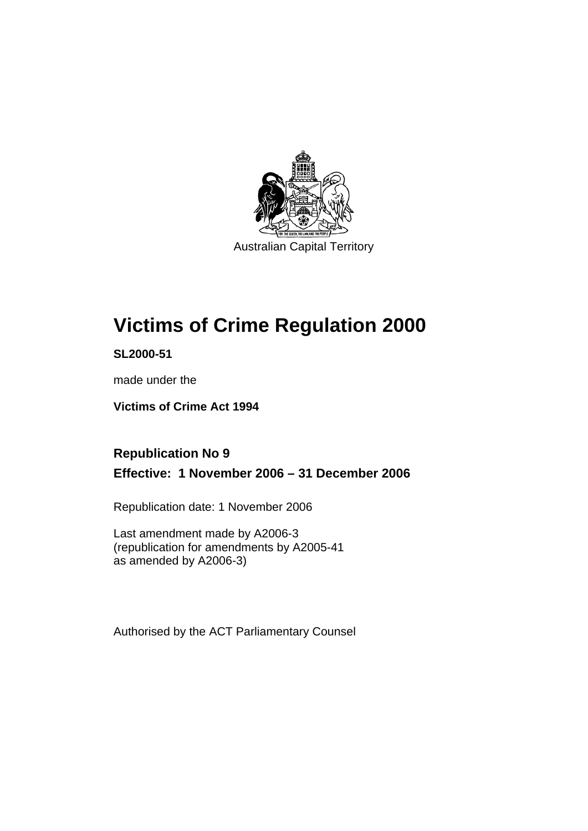

Australian Capital Territory

# **Victims of Crime Regulation 2000**

**SL2000-51** 

made under the

**Victims of Crime Act 1994** 

# **Republication No 9 Effective: 1 November 2006 – 31 December 2006**

Republication date: 1 November 2006

Last amendment made by A2006-3 (republication for amendments by A2005-41 as amended by A2006-3)

Authorised by the ACT Parliamentary Counsel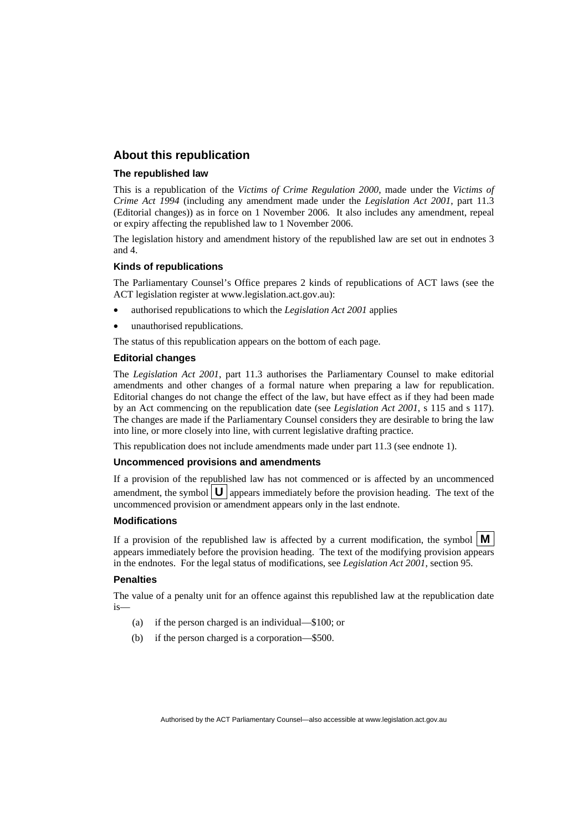# **About this republication**

#### **The republished law**

This is a republication of the *Victims of Crime Regulation 2000*, made under the *Victims of Crime Act 1994* (including any amendment made under the *Legislation Act 2001*, part 11.3 (Editorial changes)) as in force on 1 November 2006*.* It also includes any amendment, repeal or expiry affecting the republished law to 1 November 2006.

The legislation history and amendment history of the republished law are set out in endnotes 3 and 4.

#### **Kinds of republications**

The Parliamentary Counsel's Office prepares 2 kinds of republications of ACT laws (see the ACT legislation register at www.legislation.act.gov.au):

- authorised republications to which the *Legislation Act 2001* applies
- unauthorised republications.

The status of this republication appears on the bottom of each page.

#### **Editorial changes**

The *Legislation Act 2001*, part 11.3 authorises the Parliamentary Counsel to make editorial amendments and other changes of a formal nature when preparing a law for republication. Editorial changes do not change the effect of the law, but have effect as if they had been made by an Act commencing on the republication date (see *Legislation Act 2001*, s 115 and s 117). The changes are made if the Parliamentary Counsel considers they are desirable to bring the law into line, or more closely into line, with current legislative drafting practice.

This republication does not include amendments made under part 11.3 (see endnote 1).

#### **Uncommenced provisions and amendments**

If a provision of the republished law has not commenced or is affected by an uncommenced amendment, the symbol  $\mathbf{U}$  appears immediately before the provision heading. The text of the uncommenced provision or amendment appears only in the last endnote.

#### **Modifications**

If a provision of the republished law is affected by a current modification, the symbol  $\mathbf{M}$ appears immediately before the provision heading. The text of the modifying provision appears in the endnotes. For the legal status of modifications, see *Legislation Act 2001*, section 95.

#### **Penalties**

The value of a penalty unit for an offence against this republished law at the republication date is—

- (a) if the person charged is an individual—\$100; or
- (b) if the person charged is a corporation—\$500.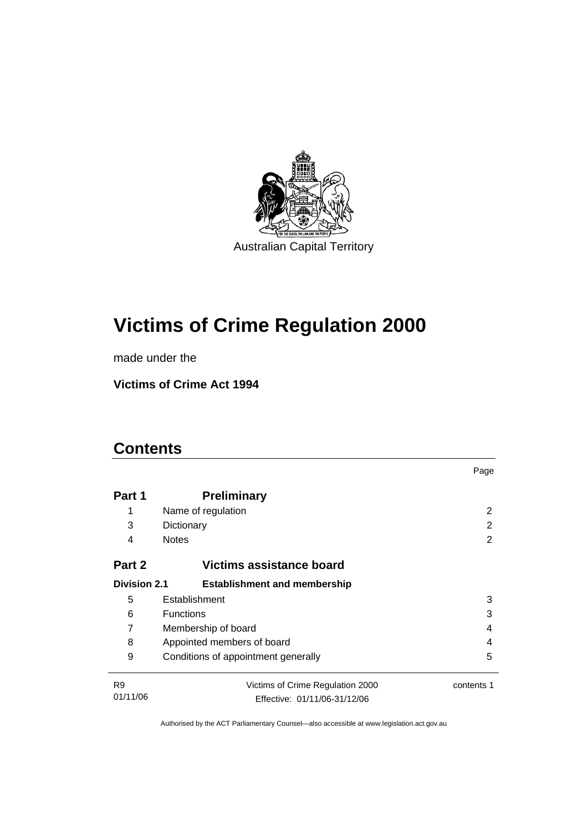

# **Victims of Crime Regulation 2000**

made under the

**Victims of Crime Act 1994** 

# **Contents**

|                     |                                     | Page       |
|---------------------|-------------------------------------|------------|
| Part 1              | <b>Preliminary</b>                  |            |
| 1                   | Name of regulation                  | 2          |
| 3                   | Dictionary                          | 2          |
| 4                   | <b>Notes</b>                        | 2          |
| Part 2              | Victims assistance board            |            |
| <b>Division 2.1</b> | <b>Establishment and membership</b> |            |
| 5                   | Establishment                       | 3          |
| 6                   | <b>Functions</b>                    | 3          |
| 7                   | Membership of board<br>4            |            |
| 8                   | Appointed members of board<br>4     |            |
| 9                   | Conditions of appointment generally | 5          |
| R <sub>9</sub>      | Victims of Crime Regulation 2000    | contents 1 |
| 01/11/06            | Effective: 01/11/06-31/12/06        |            |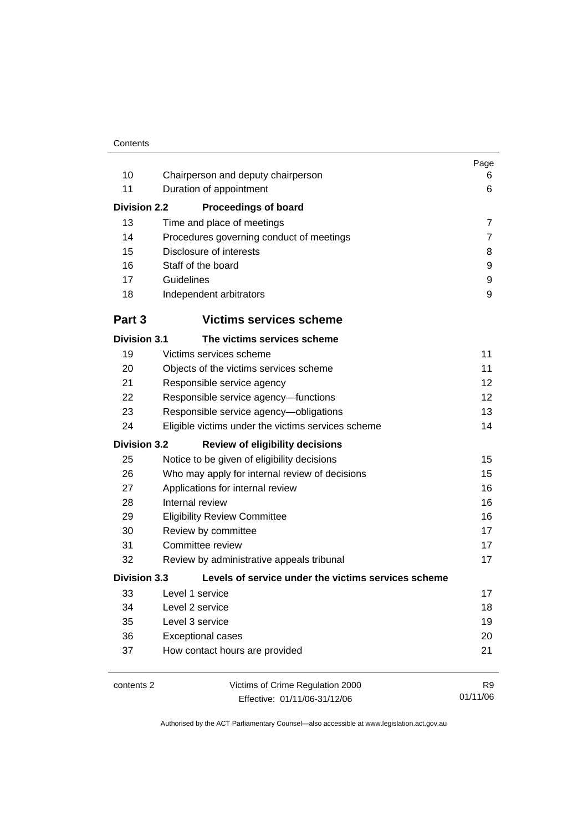|                     |                                                     | Page<br>6      |
|---------------------|-----------------------------------------------------|----------------|
|                     | 10<br>Chairperson and deputy chairperson            |                |
| 11                  | Duration of appointment                             | 6              |
| <b>Division 2.2</b> | <b>Proceedings of board</b>                         |                |
| 13                  | Time and place of meetings                          | $\overline{7}$ |
| 14                  | Procedures governing conduct of meetings            | 7              |
| 15                  | Disclosure of interests                             | 8              |
| 16                  | Staff of the board                                  | 9              |
| 17                  | Guidelines                                          | 9              |
| 18                  | Independent arbitrators                             | 9              |
| Part 3              | <b>Victims services scheme</b>                      |                |
| <b>Division 3.1</b> | The victims services scheme                         |                |
| 19                  | Victims services scheme                             | 11             |
| 20                  | Objects of the victims services scheme              | 11             |
| 21                  | Responsible service agency                          | 12             |
| 22                  | Responsible service agency-functions                | 12             |
| 23                  | Responsible service agency-obligations              | 13             |
| 24                  | Eligible victims under the victims services scheme  | 14             |
| <b>Division 3.2</b> | <b>Review of eligibility decisions</b>              |                |
| 25                  | Notice to be given of eligibility decisions         | 15             |
| 26                  | Who may apply for internal review of decisions      | 15             |
| 27                  | Applications for internal review                    | 16             |
| 28                  | Internal review                                     | 16             |
| 29                  | <b>Eligibility Review Committee</b>                 | 16             |
| 30                  | Review by committee                                 | 17             |
| 31                  | Committee review                                    | 17             |
| 32                  | Review by administrative appeals tribunal           | 17             |
| <b>Division 3.3</b> | Levels of service under the victims services scheme |                |
| 33                  | Level 1 service                                     | 17             |
| 34                  | Level 2 service                                     | 18             |
| 35                  | Level 3 service                                     | 19             |
| 36                  | <b>Exceptional cases</b>                            | 20             |
| 37                  | How contact hours are provided                      | 21             |
| contents 2          | Victims of Crime Regulation 2000                    | R <sub>9</sub> |
|                     | Effective: 01/11/06-31/12/06                        | 01/11/06       |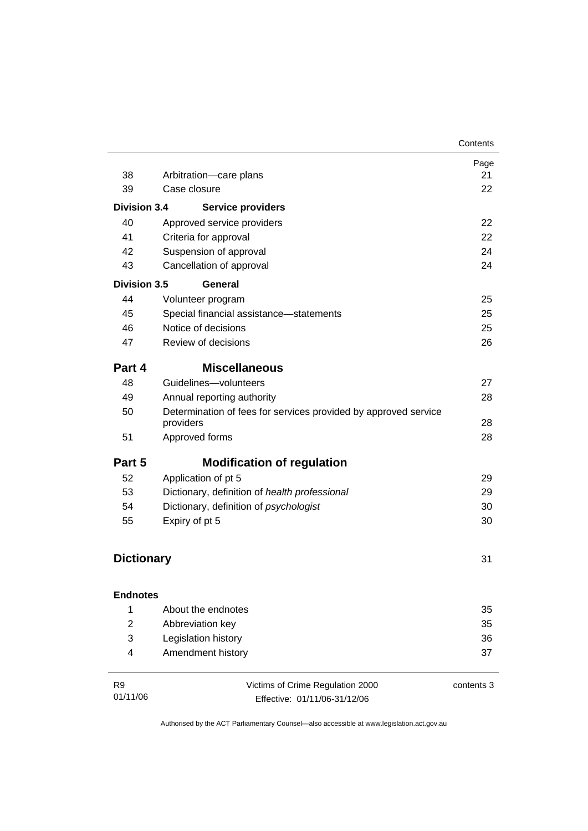|                     |                                                                              | Contents   |
|---------------------|------------------------------------------------------------------------------|------------|
|                     |                                                                              | Page       |
| 38                  | Arbitration-care plans                                                       | 21         |
| 39                  | Case closure                                                                 | 22         |
| <b>Division 3.4</b> | <b>Service providers</b>                                                     |            |
| 40                  | Approved service providers                                                   | 22         |
| 41                  | Criteria for approval                                                        | 22         |
| 42                  | Suspension of approval                                                       | 24         |
| 43                  | Cancellation of approval                                                     | 24         |
| <b>Division 3.5</b> | General                                                                      |            |
| 44                  | Volunteer program                                                            | 25         |
| 45                  | Special financial assistance-statements                                      | 25         |
| 46                  | Notice of decisions                                                          | 25         |
| 47                  | Review of decisions                                                          | 26         |
| Part 4              | <b>Miscellaneous</b>                                                         |            |
| 48                  | Guidelines-volunteers                                                        | 27         |
| 49                  | Annual reporting authority                                                   | 28         |
| 50                  | Determination of fees for services provided by approved service<br>providers | 28         |
| 51                  | Approved forms                                                               | 28         |
| Part 5              | <b>Modification of regulation</b>                                            |            |
| 52                  | Application of pt 5                                                          | 29         |
| 53                  | Dictionary, definition of health professional                                | 29         |
| 54                  | Dictionary, definition of psychologist                                       | 30         |
| 55                  | Expiry of pt 5                                                               | 30         |
| <b>Dictionary</b>   |                                                                              | 31         |
|                     |                                                                              |            |
| <b>Endnotes</b>     |                                                                              |            |
| 1                   | About the endnotes                                                           | 35         |
| $\overline{2}$      | Abbreviation key                                                             | 35         |
| 3                   | Legislation history                                                          | 36         |
| 4                   | Amendment history                                                            | 37         |
| R <sub>9</sub>      | Victims of Crime Regulation 2000                                             | contents 3 |

01/11/06

Effective: 01/11/06-31/12/06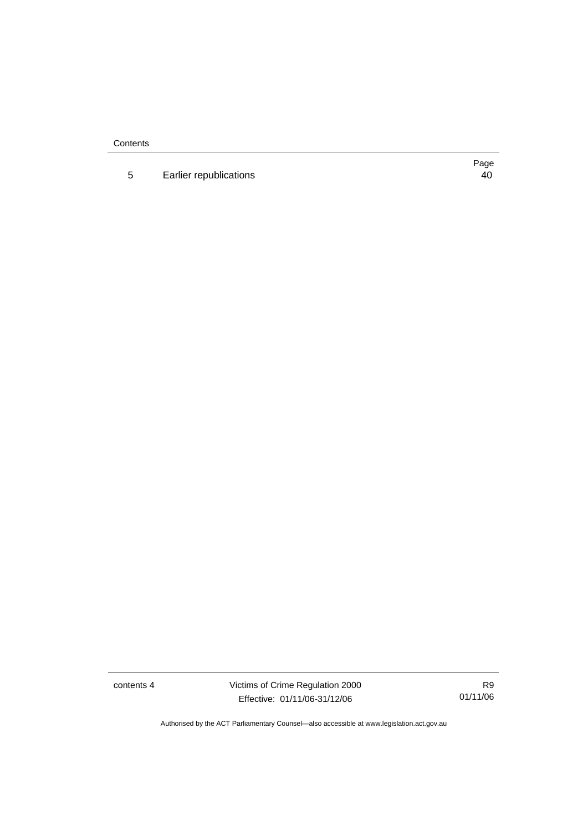**Contents** 

5 Earlier republications 40

Page

contents 4 Victims of Crime Regulation 2000 Effective: 01/11/06-31/12/06

R9 01/11/06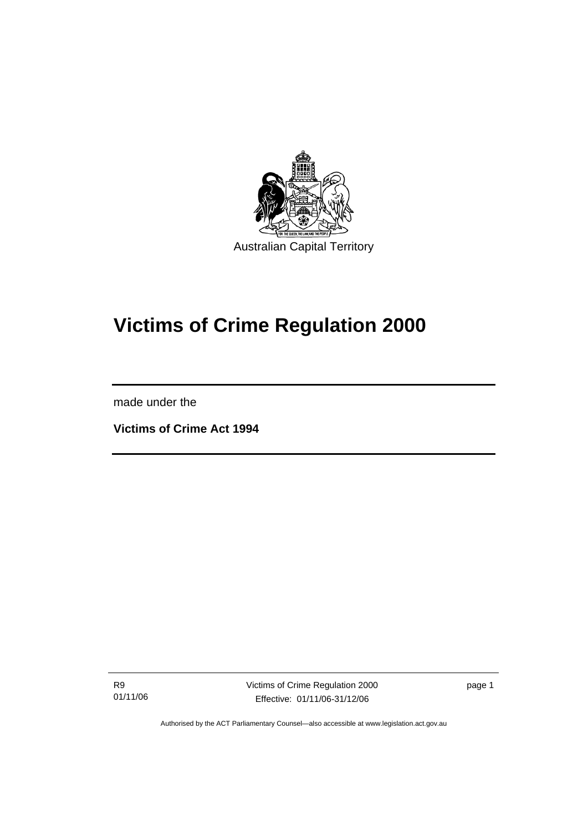

# **Victims of Crime Regulation 2000**

made under the

l

**Victims of Crime Act 1994** 

R9 01/11/06 Victims of Crime Regulation 2000 Effective: 01/11/06-31/12/06

page 1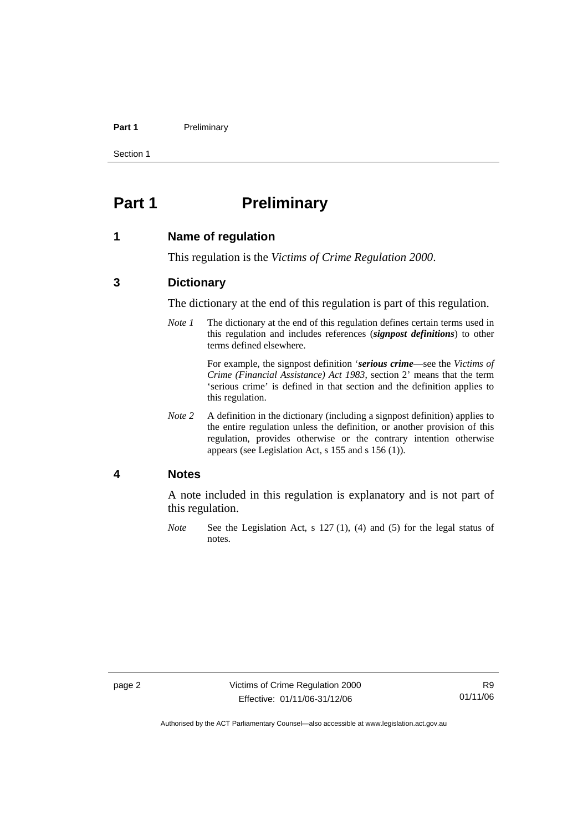#### Part 1 **Preliminary**

Section 1

# **Part 1** Preliminary

### **1 Name of regulation**

This regulation is the *Victims of Crime Regulation 2000*.

# **3 Dictionary**

The dictionary at the end of this regulation is part of this regulation.

*Note 1* The dictionary at the end of this regulation defines certain terms used in this regulation and includes references (*signpost definitions*) to other terms defined elsewhere.

> For example, the signpost definition '*serious crime*—see the *Victims of Crime (Financial Assistance) Act 1983*, section 2' means that the term 'serious crime' is defined in that section and the definition applies to this regulation.

*Note 2* A definition in the dictionary (including a signpost definition) applies to the entire regulation unless the definition, or another provision of this regulation, provides otherwise or the contrary intention otherwise appears (see Legislation Act, s 155 and s 156 (1)).

# **4 Notes**

A note included in this regulation is explanatory and is not part of this regulation.

*Note* See the Legislation Act, s 127 (1), (4) and (5) for the legal status of notes.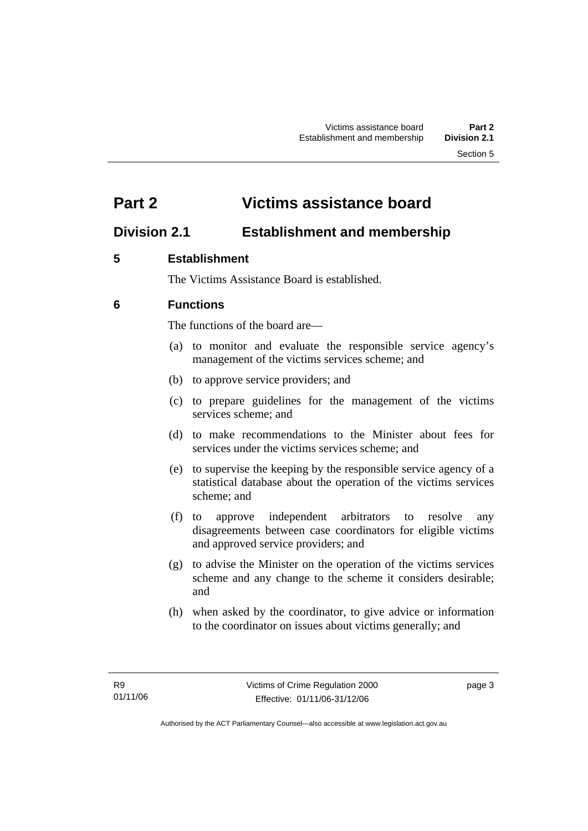# **Part 2 Victims assistance board**

# **Division 2.1 Establishment and membership**

# **5 Establishment**

The Victims Assistance Board is established.

# **6 Functions**

The functions of the board are—

- (a) to monitor and evaluate the responsible service agency's management of the victims services scheme; and
- (b) to approve service providers; and
- (c) to prepare guidelines for the management of the victims services scheme; and
- (d) to make recommendations to the Minister about fees for services under the victims services scheme; and
- (e) to supervise the keeping by the responsible service agency of a statistical database about the operation of the victims services scheme; and
- (f) to approve independent arbitrators to resolve any disagreements between case coordinators for eligible victims and approved service providers; and
- (g) to advise the Minister on the operation of the victims services scheme and any change to the scheme it considers desirable; and
- (h) when asked by the coordinator, to give advice or information to the coordinator on issues about victims generally; and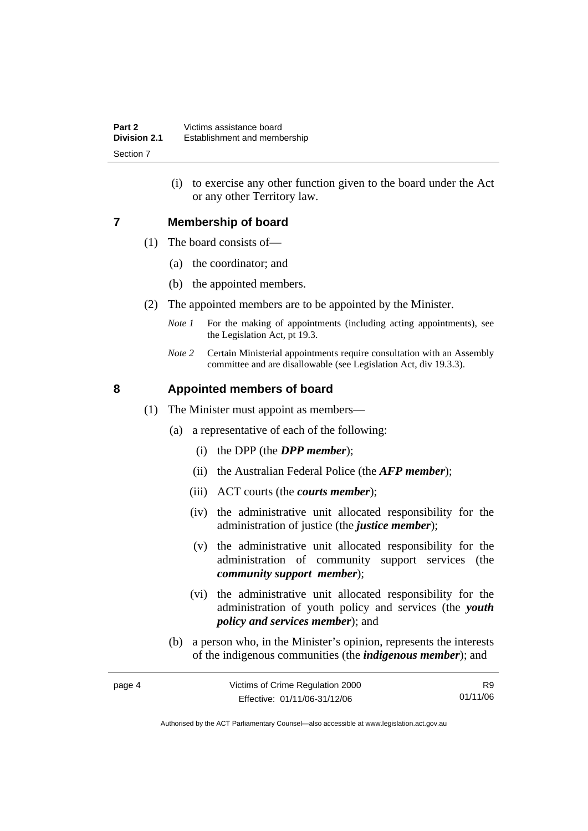(i) to exercise any other function given to the board under the Act or any other Territory law.

# **7 Membership of board**

- (1) The board consists of—
	- (a) the coordinator; and
	- (b) the appointed members.
- (2) The appointed members are to be appointed by the Minister.
	- *Note 1* For the making of appointments (including acting appointments), see the Legislation Act, pt 19.3.
	- *Note 2* Certain Ministerial appointments require consultation with an Assembly committee and are disallowable (see Legislation Act, div 19.3.3).

# **8 Appointed members of board**

- (1) The Minister must appoint as members—
	- (a) a representative of each of the following:
		- (i) the DPP (the *DPP member*);
		- (ii) the Australian Federal Police (the *AFP member*);
		- (iii) ACT courts (the *courts member*);
		- (iv) the administrative unit allocated responsibility for the administration of justice (the *justice member*);
		- (v) the administrative unit allocated responsibility for the administration of community support services (the *community support member*);
		- (vi) the administrative unit allocated responsibility for the administration of youth policy and services (the *youth policy and services member*); and
	- (b) a person who, in the Minister's opinion, represents the interests of the indigenous communities (the *indigenous member*); and

| page 4 | Victims of Crime Regulation 2000 | R9       |
|--------|----------------------------------|----------|
|        | Effective: 01/11/06-31/12/06     | 01/11/06 |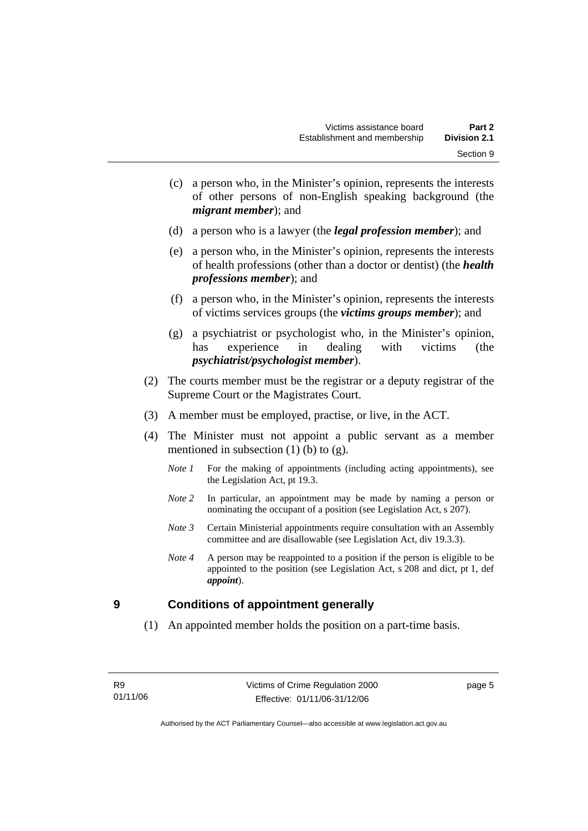- (c) a person who, in the Minister's opinion, represents the interests of other persons of non-English speaking background (the *migrant member*); and
- (d) a person who is a lawyer (the *legal profession member*); and
- (e) a person who, in the Minister's opinion, represents the interests of health professions (other than a doctor or dentist) (the *health professions member*); and
- (f) a person who, in the Minister's opinion, represents the interests of victims services groups (the *victims groups member*); and
- (g) a psychiatrist or psychologist who, in the Minister's opinion, has experience in dealing with victims (the *psychiatrist/psychologist member*).
- (2) The courts member must be the registrar or a deputy registrar of the Supreme Court or the Magistrates Court.
- (3) A member must be employed, practise, or live, in the ACT.
- (4) The Minister must not appoint a public servant as a member mentioned in subsection  $(1)$  (b) to  $(g)$ .
	- *Note 1* For the making of appointments (including acting appointments), see the Legislation Act, pt 19.3.
	- *Note* 2 In particular, an appointment may be made by naming a person or nominating the occupant of a position (see Legislation Act, s 207).
	- *Note 3* Certain Ministerial appointments require consultation with an Assembly committee and are disallowable (see Legislation Act, div 19.3.3).
	- *Note 4* A person may be reappointed to a position if the person is eligible to be appointed to the position (see Legislation Act, s 208 and dict, pt 1, def *appoint*).

# **9 Conditions of appointment generally**

(1) An appointed member holds the position on a part-time basis.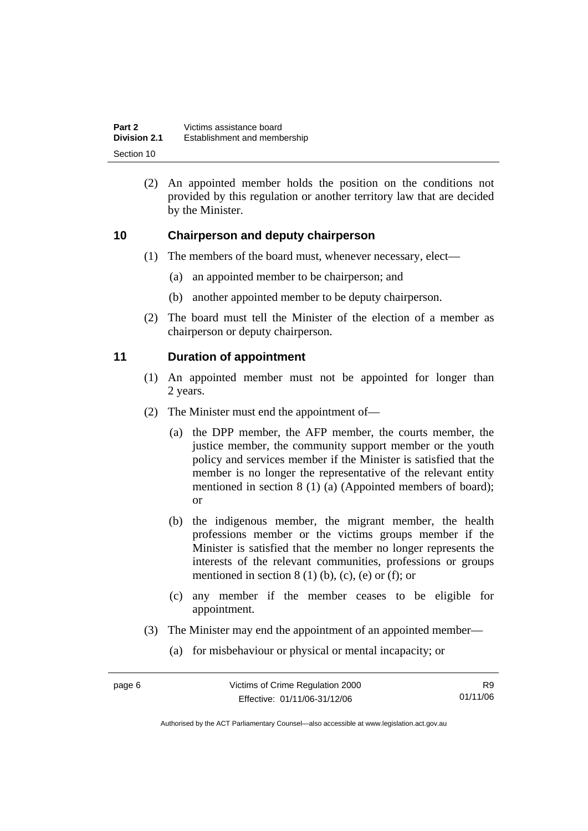| Part 2              | Victims assistance board     |
|---------------------|------------------------------|
| <b>Division 2.1</b> | Establishment and membership |
| Section 10          |                              |

 (2) An appointed member holds the position on the conditions not provided by this regulation or another territory law that are decided by the Minister.

# **10 Chairperson and deputy chairperson**

- (1) The members of the board must, whenever necessary, elect—
	- (a) an appointed member to be chairperson; and
	- (b) another appointed member to be deputy chairperson.
- (2) The board must tell the Minister of the election of a member as chairperson or deputy chairperson.

# **11 Duration of appointment**

- (1) An appointed member must not be appointed for longer than 2 years.
- (2) The Minister must end the appointment of—
	- (a) the DPP member, the AFP member, the courts member, the justice member, the community support member or the youth policy and services member if the Minister is satisfied that the member is no longer the representative of the relevant entity mentioned in section 8 (1) (a) (Appointed members of board); or
	- (b) the indigenous member, the migrant member, the health professions member or the victims groups member if the Minister is satisfied that the member no longer represents the interests of the relevant communities, professions or groups mentioned in section  $8(1)$  (b), (c), (e) or (f); or
	- (c) any member if the member ceases to be eligible for appointment.
- (3) The Minister may end the appointment of an appointed member—
	- (a) for misbehaviour or physical or mental incapacity; or

R9 01/11/06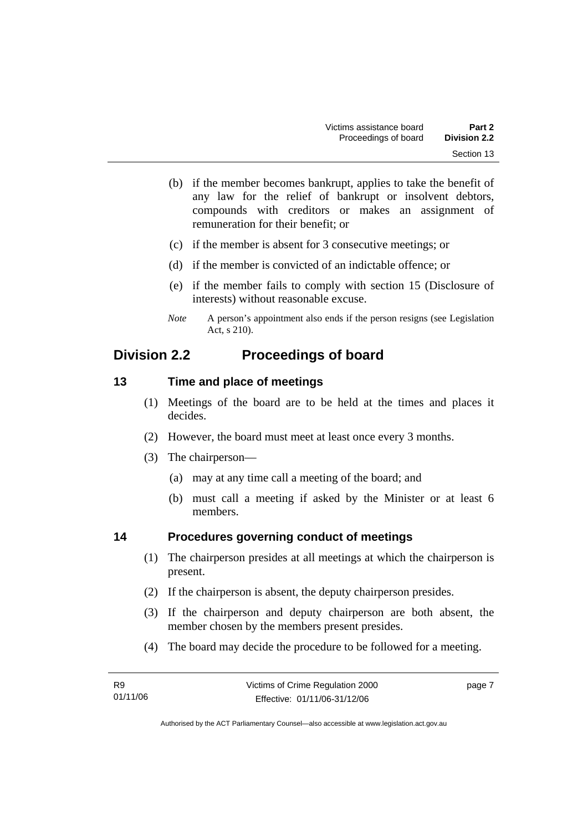- (b) if the member becomes bankrupt, applies to take the benefit of any law for the relief of bankrupt or insolvent debtors, compounds with creditors or makes an assignment of remuneration for their benefit; or
- (c) if the member is absent for 3 consecutive meetings; or
- (d) if the member is convicted of an indictable offence; or
- (e) if the member fails to comply with section 15 (Disclosure of interests) without reasonable excuse.
- *Note* A person's appointment also ends if the person resigns (see Legislation Act, s 210).

# **Division 2.2 Proceedings of board**

# **13 Time and place of meetings**

- (1) Meetings of the board are to be held at the times and places it decides.
- (2) However, the board must meet at least once every 3 months.
- (3) The chairperson—
	- (a) may at any time call a meeting of the board; and
	- (b) must call a meeting if asked by the Minister or at least 6 members.

# **14 Procedures governing conduct of meetings**

- (1) The chairperson presides at all meetings at which the chairperson is present.
- (2) If the chairperson is absent, the deputy chairperson presides.
- (3) If the chairperson and deputy chairperson are both absent, the member chosen by the members present presides.
- (4) The board may decide the procedure to be followed for a meeting.

| <b>R9</b> | Victims of Crime Regulation 2000 | page 7 |
|-----------|----------------------------------|--------|
| 01/11/06  | Effective: 01/11/06-31/12/06     |        |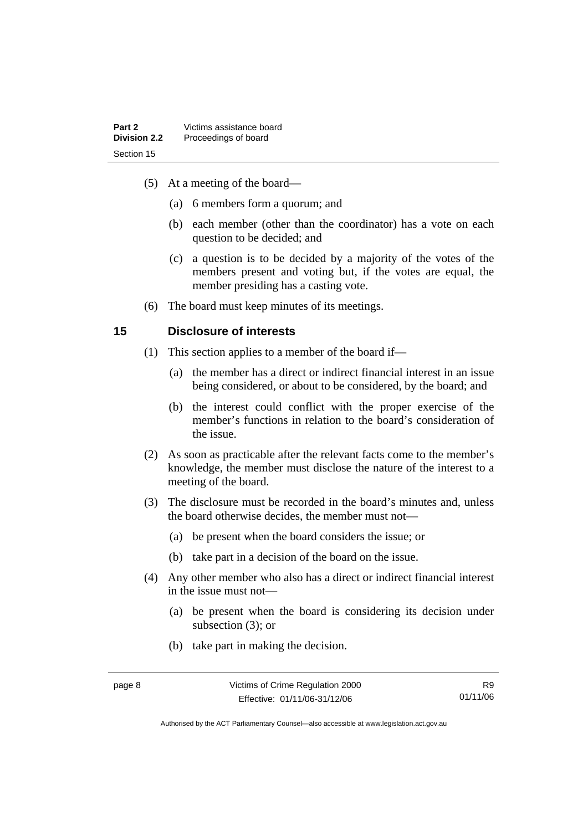- (5) At a meeting of the board—
	- (a) 6 members form a quorum; and
	- (b) each member (other than the coordinator) has a vote on each question to be decided; and
	- (c) a question is to be decided by a majority of the votes of the members present and voting but, if the votes are equal, the member presiding has a casting vote.
- (6) The board must keep minutes of its meetings.

# **15 Disclosure of interests**

- (1) This section applies to a member of the board if—
	- (a) the member has a direct or indirect financial interest in an issue being considered, or about to be considered, by the board; and
	- (b) the interest could conflict with the proper exercise of the member's functions in relation to the board's consideration of the issue.
- (2) As soon as practicable after the relevant facts come to the member's knowledge, the member must disclose the nature of the interest to a meeting of the board.
- (3) The disclosure must be recorded in the board's minutes and, unless the board otherwise decides, the member must not—
	- (a) be present when the board considers the issue; or
	- (b) take part in a decision of the board on the issue.
- (4) Any other member who also has a direct or indirect financial interest in the issue must not—
	- (a) be present when the board is considering its decision under subsection (3); or
	- (b) take part in making the decision.

R9 01/11/06

Authorised by the ACT Parliamentary Counsel—also accessible at www.legislation.act.gov.au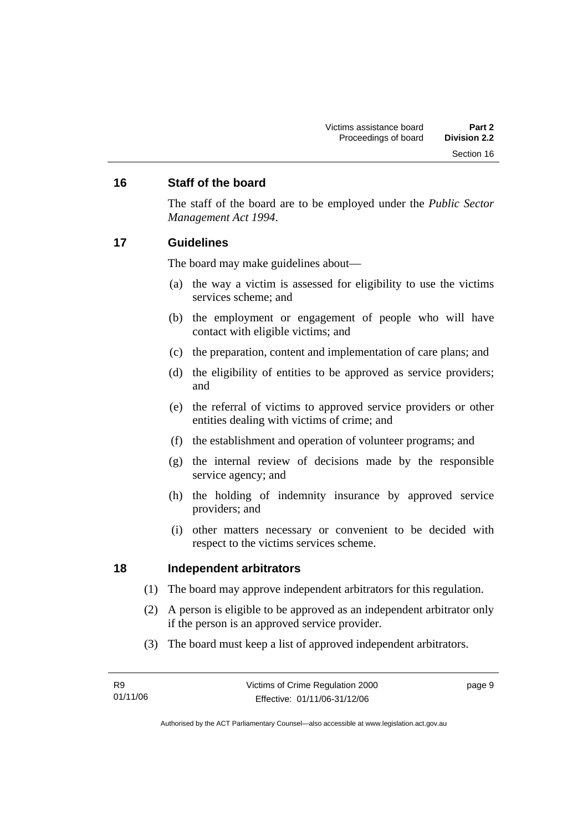# **16 Staff of the board**

The staff of the board are to be employed under the *Public Sector Management Act 1994*.

# **17 Guidelines**

The board may make guidelines about—

- (a) the way a victim is assessed for eligibility to use the victims services scheme; and
- (b) the employment or engagement of people who will have contact with eligible victims; and
- (c) the preparation, content and implementation of care plans; and
- (d) the eligibility of entities to be approved as service providers; and
- (e) the referral of victims to approved service providers or other entities dealing with victims of crime; and
- (f) the establishment and operation of volunteer programs; and
- (g) the internal review of decisions made by the responsible service agency; and
- (h) the holding of indemnity insurance by approved service providers; and
- (i) other matters necessary or convenient to be decided with respect to the victims services scheme.

# **18 Independent arbitrators**

- (1) The board may approve independent arbitrators for this regulation.
- (2) A person is eligible to be approved as an independent arbitrator only if the person is an approved service provider.
- (3) The board must keep a list of approved independent arbitrators.

page 9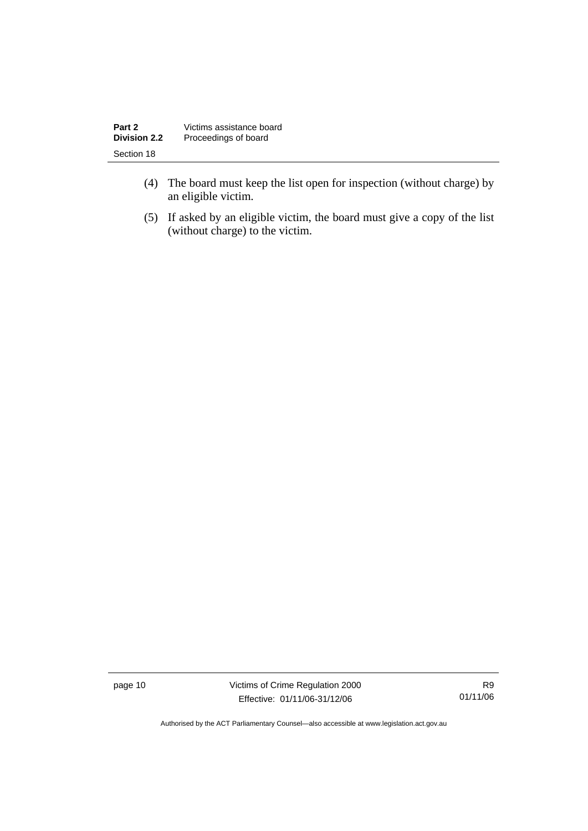| Part 2              | Victims assistance board |
|---------------------|--------------------------|
| <b>Division 2.2</b> | Proceedings of board     |
| Section 18          |                          |

- (4) The board must keep the list open for inspection (without charge) by an eligible victim.
- (5) If asked by an eligible victim, the board must give a copy of the list (without charge) to the victim.

page 10 Victims of Crime Regulation 2000 Effective: 01/11/06-31/12/06

R9 01/11/06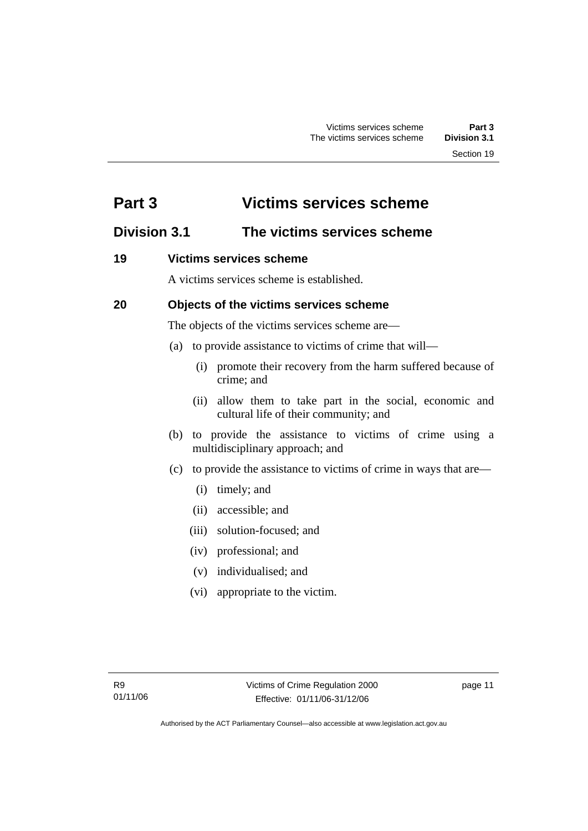# **Part 3 Victims services scheme**

# **Division 3.1 The victims services scheme**

# **19 Victims services scheme**

A victims services scheme is established.

# **20 Objects of the victims services scheme**

The objects of the victims services scheme are—

- (a) to provide assistance to victims of crime that will—
	- (i) promote their recovery from the harm suffered because of crime; and
	- (ii) allow them to take part in the social, economic and cultural life of their community; and
- (b) to provide the assistance to victims of crime using a multidisciplinary approach; and
- (c) to provide the assistance to victims of crime in ways that are—
	- (i) timely; and
	- (ii) accessible; and
	- (iii) solution-focused; and
	- (iv) professional; and
	- (v) individualised; and
	- (vi) appropriate to the victim.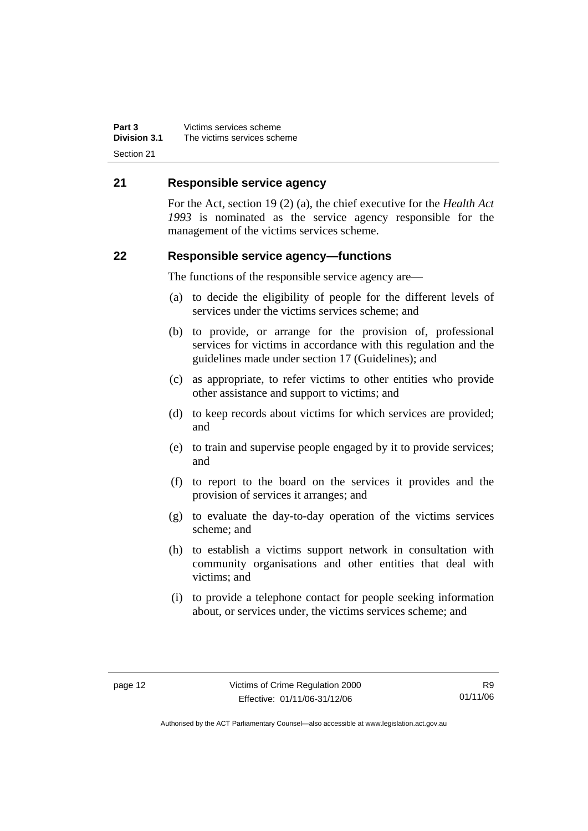**Part 3** Victims services scheme<br>**Division 3.1** The victims services sche **Division 3.1** The victims services scheme Section 21

# **21 Responsible service agency**

For the Act, section 19 (2) (a), the chief executive for the *Health Act 1993* is nominated as the service agency responsible for the management of the victims services scheme.

# **22 Responsible service agency—functions**

The functions of the responsible service agency are—

- (a) to decide the eligibility of people for the different levels of services under the victims services scheme; and
- (b) to provide, or arrange for the provision of, professional services for victims in accordance with this regulation and the guidelines made under section 17 (Guidelines); and
- (c) as appropriate, to refer victims to other entities who provide other assistance and support to victims; and
- (d) to keep records about victims for which services are provided; and
- (e) to train and supervise people engaged by it to provide services; and
- (f) to report to the board on the services it provides and the provision of services it arranges; and
- (g) to evaluate the day-to-day operation of the victims services scheme; and
- (h) to establish a victims support network in consultation with community organisations and other entities that deal with victims; and
- (i) to provide a telephone contact for people seeking information about, or services under, the victims services scheme; and

R9 01/11/06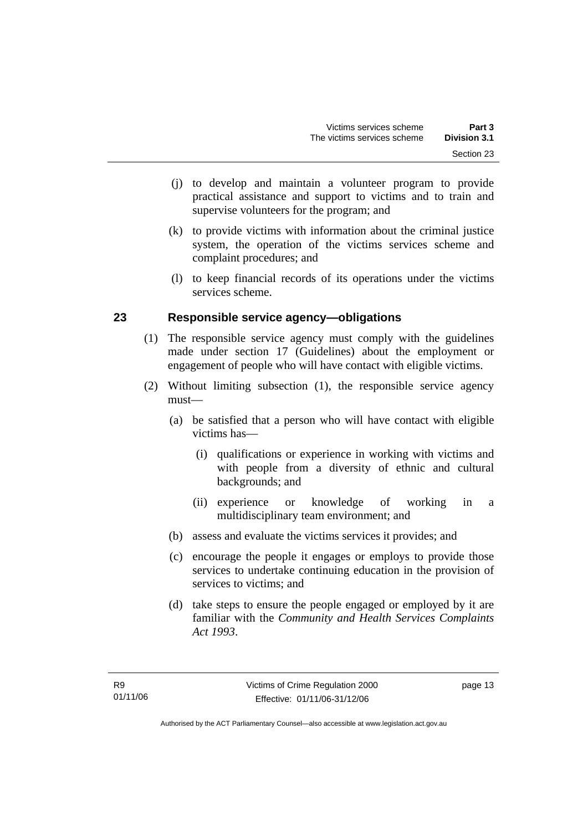- (j) to develop and maintain a volunteer program to provide practical assistance and support to victims and to train and supervise volunteers for the program; and
- (k) to provide victims with information about the criminal justice system, the operation of the victims services scheme and complaint procedures; and
- (l) to keep financial records of its operations under the victims services scheme.

# **23 Responsible service agency—obligations**

- (1) The responsible service agency must comply with the guidelines made under section 17 (Guidelines) about the employment or engagement of people who will have contact with eligible victims.
- (2) Without limiting subsection (1), the responsible service agency must—
	- (a) be satisfied that a person who will have contact with eligible victims has—
		- (i) qualifications or experience in working with victims and with people from a diversity of ethnic and cultural backgrounds; and
		- (ii) experience or knowledge of working in a multidisciplinary team environment; and
	- (b) assess and evaluate the victims services it provides; and
	- (c) encourage the people it engages or employs to provide those services to undertake continuing education in the provision of services to victims; and
	- (d) take steps to ensure the people engaged or employed by it are familiar with the *Community and Health Services Complaints Act 1993*.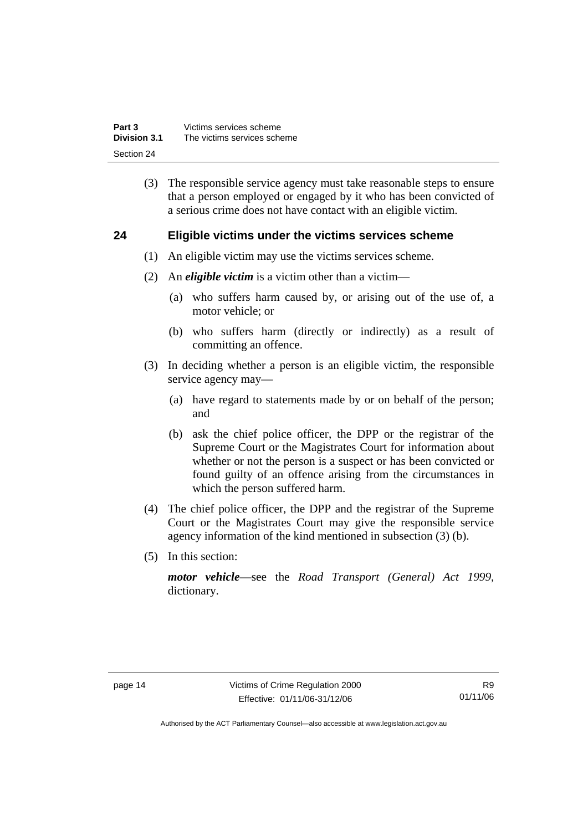| Part 3              | Victims services scheme     |
|---------------------|-----------------------------|
| <b>Division 3.1</b> | The victims services scheme |
| Section 24          |                             |

 (3) The responsible service agency must take reasonable steps to ensure that a person employed or engaged by it who has been convicted of a serious crime does not have contact with an eligible victim.

# **24 Eligible victims under the victims services scheme**

- (1) An eligible victim may use the victims services scheme.
- (2) An *eligible victim* is a victim other than a victim—
	- (a) who suffers harm caused by, or arising out of the use of, a motor vehicle; or
	- (b) who suffers harm (directly or indirectly) as a result of committing an offence.
- (3) In deciding whether a person is an eligible victim, the responsible service agency may—
	- (a) have regard to statements made by or on behalf of the person; and
	- (b) ask the chief police officer, the DPP or the registrar of the Supreme Court or the Magistrates Court for information about whether or not the person is a suspect or has been convicted or found guilty of an offence arising from the circumstances in which the person suffered harm.
- (4) The chief police officer, the DPP and the registrar of the Supreme Court or the Magistrates Court may give the responsible service agency information of the kind mentioned in subsection (3) (b).
- (5) In this section:

*motor vehicle*—see the *Road Transport (General) Act 1999*, dictionary.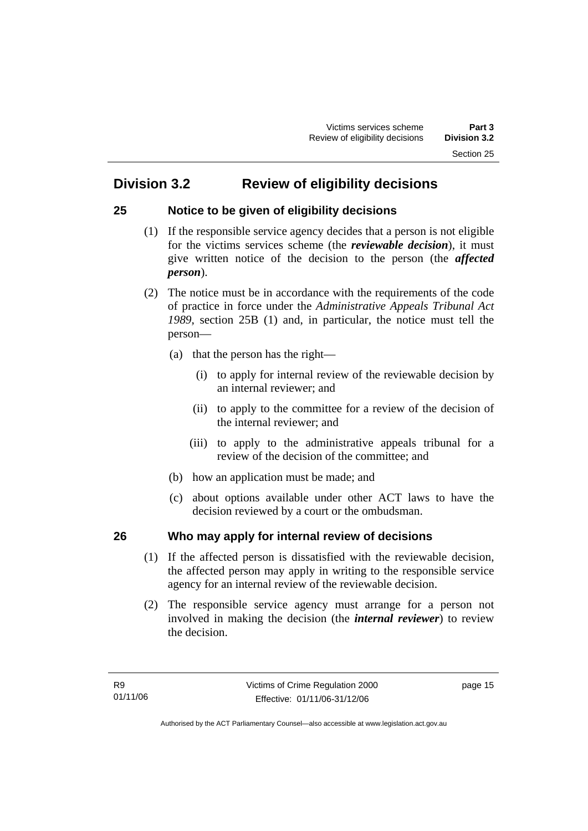# **25 Notice to be given of eligibility decisions**

- (1) If the responsible service agency decides that a person is not eligible for the victims services scheme (the *reviewable decision*), it must give written notice of the decision to the person (the *affected person*).
- (2) The notice must be in accordance with the requirements of the code of practice in force under the *Administrative Appeals Tribunal Act 1989*, section 25B (1) and, in particular, the notice must tell the person—
	- (a) that the person has the right—
		- (i) to apply for internal review of the reviewable decision by an internal reviewer; and
		- (ii) to apply to the committee for a review of the decision of the internal reviewer; and
		- (iii) to apply to the administrative appeals tribunal for a review of the decision of the committee; and
	- (b) how an application must be made; and
	- (c) about options available under other ACT laws to have the decision reviewed by a court or the ombudsman.

# **26 Who may apply for internal review of decisions**

- (1) If the affected person is dissatisfied with the reviewable decision, the affected person may apply in writing to the responsible service agency for an internal review of the reviewable decision.
- (2) The responsible service agency must arrange for a person not involved in making the decision (the *internal reviewer*) to review the decision.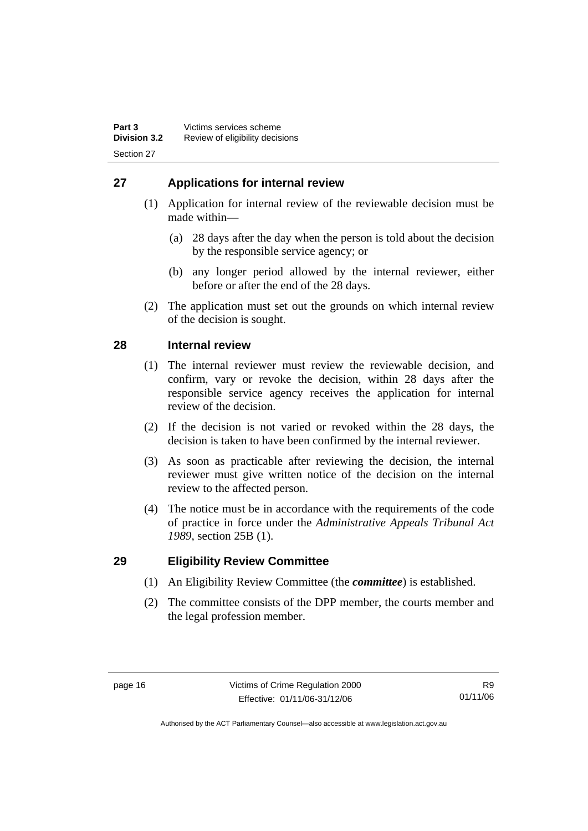# **27 Applications for internal review**

- (1) Application for internal review of the reviewable decision must be made within—
	- (a) 28 days after the day when the person is told about the decision by the responsible service agency; or
	- (b) any longer period allowed by the internal reviewer, either before or after the end of the 28 days.
- (2) The application must set out the grounds on which internal review of the decision is sought.

# **28 Internal review**

- (1) The internal reviewer must review the reviewable decision, and confirm, vary or revoke the decision, within 28 days after the responsible service agency receives the application for internal review of the decision.
- (2) If the decision is not varied or revoked within the 28 days, the decision is taken to have been confirmed by the internal reviewer.
- (3) As soon as practicable after reviewing the decision, the internal reviewer must give written notice of the decision on the internal review to the affected person.
- (4) The notice must be in accordance with the requirements of the code of practice in force under the *Administrative Appeals Tribunal Act 1989*, section 25B (1).

# **29 Eligibility Review Committee**

- (1) An Eligibility Review Committee (the *committee*) is established.
- (2) The committee consists of the DPP member, the courts member and the legal profession member.

R9 01/11/06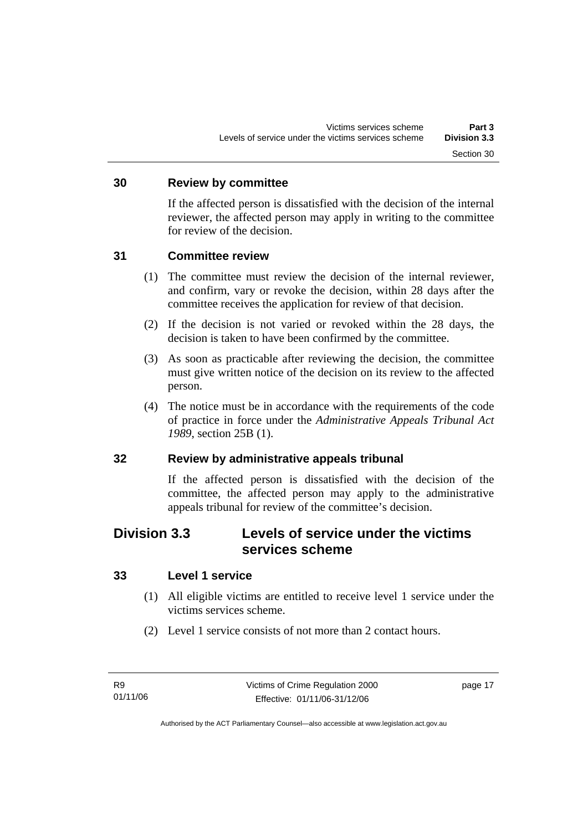### **30 Review by committee**

If the affected person is dissatisfied with the decision of the internal reviewer, the affected person may apply in writing to the committee for review of the decision.

# **31 Committee review**

- (1) The committee must review the decision of the internal reviewer, and confirm, vary or revoke the decision, within 28 days after the committee receives the application for review of that decision.
- (2) If the decision is not varied or revoked within the 28 days, the decision is taken to have been confirmed by the committee.
- (3) As soon as practicable after reviewing the decision, the committee must give written notice of the decision on its review to the affected person.
- (4) The notice must be in accordance with the requirements of the code of practice in force under the *Administrative Appeals Tribunal Act 1989*, section 25B (1).

# **32 Review by administrative appeals tribunal**

If the affected person is dissatisfied with the decision of the committee, the affected person may apply to the administrative appeals tribunal for review of the committee's decision.

# **Division 3.3 Levels of service under the victims services scheme**

# **33 Level 1 service**

- (1) All eligible victims are entitled to receive level 1 service under the victims services scheme.
- (2) Level 1 service consists of not more than 2 contact hours.

page 17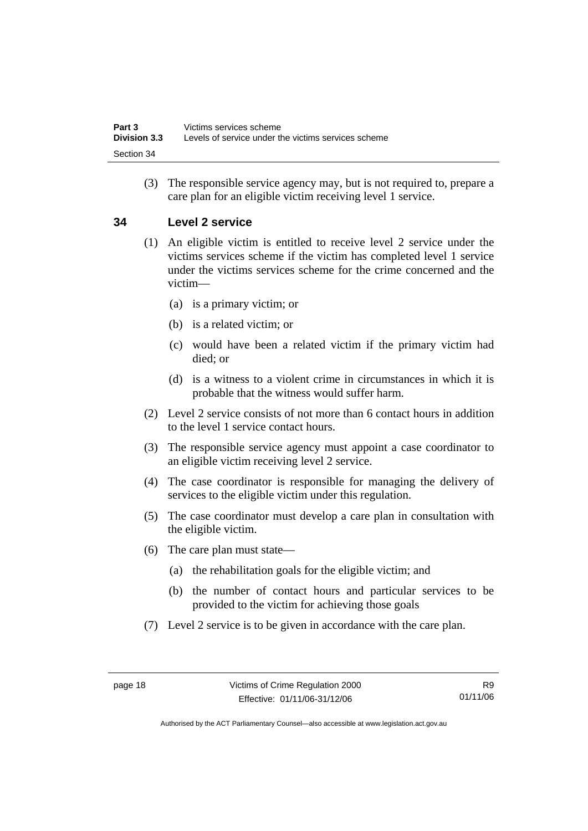(3) The responsible service agency may, but is not required to, prepare a care plan for an eligible victim receiving level 1 service.

# **34 Level 2 service**

- (1) An eligible victim is entitled to receive level 2 service under the victims services scheme if the victim has completed level 1 service under the victims services scheme for the crime concerned and the victim—
	- (a) is a primary victim; or
	- (b) is a related victim; or
	- (c) would have been a related victim if the primary victim had died; or
	- (d) is a witness to a violent crime in circumstances in which it is probable that the witness would suffer harm.
- (2) Level 2 service consists of not more than 6 contact hours in addition to the level 1 service contact hours.
- (3) The responsible service agency must appoint a case coordinator to an eligible victim receiving level 2 service.
- (4) The case coordinator is responsible for managing the delivery of services to the eligible victim under this regulation.
- (5) The case coordinator must develop a care plan in consultation with the eligible victim.
- (6) The care plan must state—
	- (a) the rehabilitation goals for the eligible victim; and
	- (b) the number of contact hours and particular services to be provided to the victim for achieving those goals
- (7) Level 2 service is to be given in accordance with the care plan.

R9 01/11/06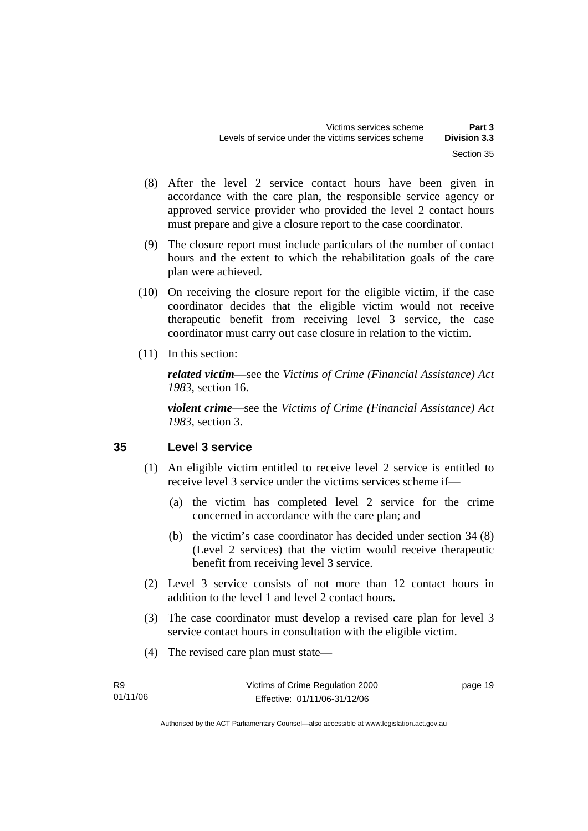- (8) After the level 2 service contact hours have been given in accordance with the care plan, the responsible service agency or approved service provider who provided the level 2 contact hours must prepare and give a closure report to the case coordinator.
- (9) The closure report must include particulars of the number of contact hours and the extent to which the rehabilitation goals of the care plan were achieved.
- (10) On receiving the closure report for the eligible victim, if the case coordinator decides that the eligible victim would not receive therapeutic benefit from receiving level 3 service, the case coordinator must carry out case closure in relation to the victim.
- (11) In this section:

*related victim*—see the *Victims of Crime (Financial Assistance) Act 1983*, section 16.

*violent crime*—see the *Victims of Crime (Financial Assistance) Act 1983*, section 3.

# **35 Level 3 service**

- (1) An eligible victim entitled to receive level 2 service is entitled to receive level 3 service under the victims services scheme if—
	- (a) the victim has completed level 2 service for the crime concerned in accordance with the care plan; and
	- (b) the victim's case coordinator has decided under section 34 (8) (Level 2 services) that the victim would receive therapeutic benefit from receiving level 3 service.
- (2) Level 3 service consists of not more than 12 contact hours in addition to the level 1 and level 2 contact hours.
- (3) The case coordinator must develop a revised care plan for level 3 service contact hours in consultation with the eligible victim.
- (4) The revised care plan must state—

| R9       | Victims of Crime Regulation 2000 | page 19 |
|----------|----------------------------------|---------|
| 01/11/06 | Effective: 01/11/06-31/12/06     |         |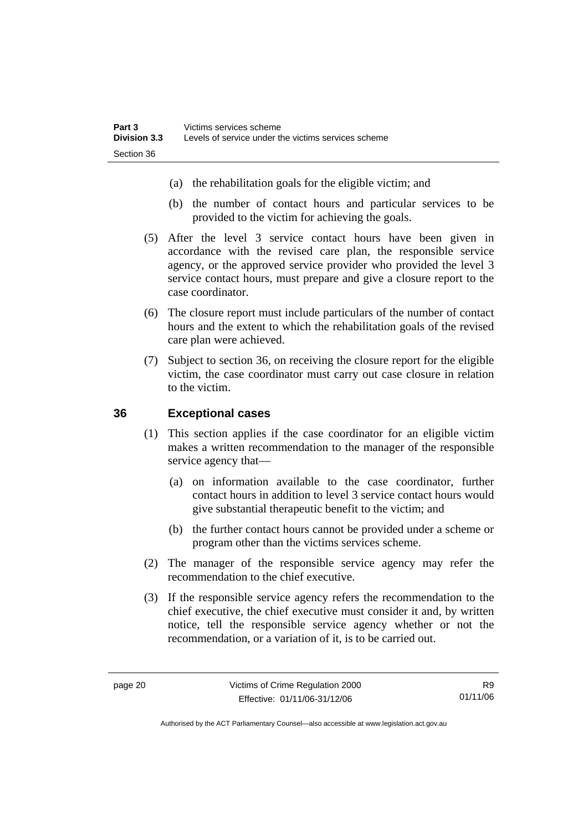- (a) the rehabilitation goals for the eligible victim; and
- (b) the number of contact hours and particular services to be provided to the victim for achieving the goals.
- (5) After the level 3 service contact hours have been given in accordance with the revised care plan, the responsible service agency, or the approved service provider who provided the level 3 service contact hours, must prepare and give a closure report to the case coordinator.
- (6) The closure report must include particulars of the number of contact hours and the extent to which the rehabilitation goals of the revised care plan were achieved.
- (7) Subject to section 36, on receiving the closure report for the eligible victim, the case coordinator must carry out case closure in relation to the victim.

# **36 Exceptional cases**

- (1) This section applies if the case coordinator for an eligible victim makes a written recommendation to the manager of the responsible service agency that—
	- (a) on information available to the case coordinator, further contact hours in addition to level 3 service contact hours would give substantial therapeutic benefit to the victim; and
	- (b) the further contact hours cannot be provided under a scheme or program other than the victims services scheme.
- (2) The manager of the responsible service agency may refer the recommendation to the chief executive.
- (3) If the responsible service agency refers the recommendation to the chief executive, the chief executive must consider it and, by written notice, tell the responsible service agency whether or not the recommendation, or a variation of it, is to be carried out.

R9 01/11/06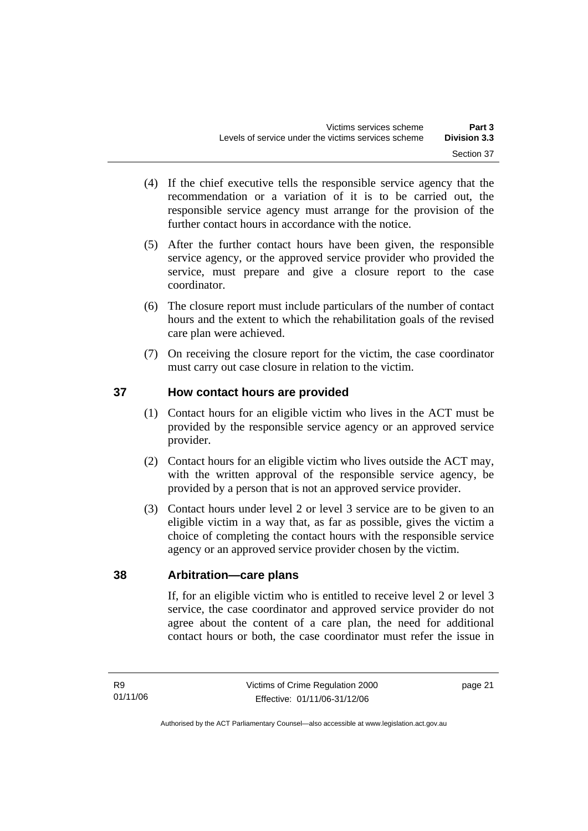- (4) If the chief executive tells the responsible service agency that the recommendation or a variation of it is to be carried out, the responsible service agency must arrange for the provision of the further contact hours in accordance with the notice.
- (5) After the further contact hours have been given, the responsible service agency, or the approved service provider who provided the service, must prepare and give a closure report to the case coordinator.
- (6) The closure report must include particulars of the number of contact hours and the extent to which the rehabilitation goals of the revised care plan were achieved.
- (7) On receiving the closure report for the victim, the case coordinator must carry out case closure in relation to the victim.

# **37 How contact hours are provided**

- (1) Contact hours for an eligible victim who lives in the ACT must be provided by the responsible service agency or an approved service provider.
- (2) Contact hours for an eligible victim who lives outside the ACT may, with the written approval of the responsible service agency, be provided by a person that is not an approved service provider.
- (3) Contact hours under level 2 or level 3 service are to be given to an eligible victim in a way that, as far as possible, gives the victim a choice of completing the contact hours with the responsible service agency or an approved service provider chosen by the victim.

# **38 Arbitration—care plans**

If, for an eligible victim who is entitled to receive level 2 or level 3 service, the case coordinator and approved service provider do not agree about the content of a care plan, the need for additional contact hours or both, the case coordinator must refer the issue in

page 21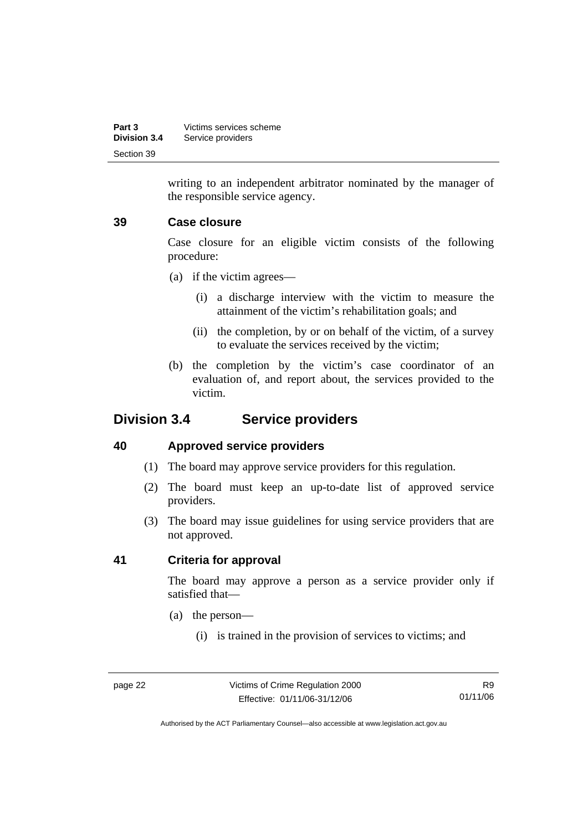| Part 3              | Victims services scheme |
|---------------------|-------------------------|
| <b>Division 3.4</b> | Service providers       |
| Section 39          |                         |

writing to an independent arbitrator nominated by the manager of the responsible service agency.

# **39 Case closure**

Case closure for an eligible victim consists of the following procedure:

- (a) if the victim agrees—
	- (i) a discharge interview with the victim to measure the attainment of the victim's rehabilitation goals; and
	- (ii) the completion, by or on behalf of the victim, of a survey to evaluate the services received by the victim;
- (b) the completion by the victim's case coordinator of an evaluation of, and report about, the services provided to the victim.

# **Division 3.4 Service providers**

# **40 Approved service providers**

- (1) The board may approve service providers for this regulation.
- (2) The board must keep an up-to-date list of approved service providers.
- (3) The board may issue guidelines for using service providers that are not approved.

# **41 Criteria for approval**

The board may approve a person as a service provider only if satisfied that—

- (a) the person—
	- (i) is trained in the provision of services to victims; and

R9 01/11/06

Authorised by the ACT Parliamentary Counsel—also accessible at www.legislation.act.gov.au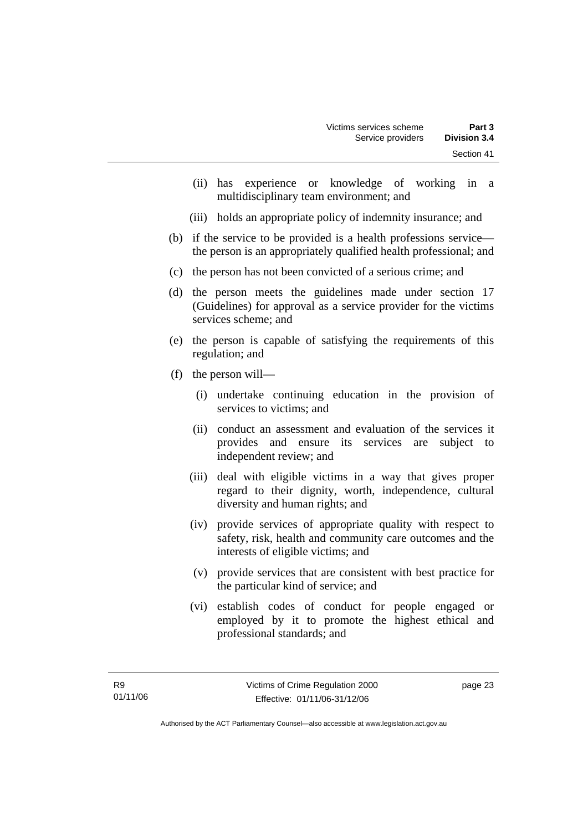- (ii) has experience or knowledge of working in a multidisciplinary team environment; and
- (iii) holds an appropriate policy of indemnity insurance; and
- (b) if the service to be provided is a health professions service the person is an appropriately qualified health professional; and
- (c) the person has not been convicted of a serious crime; and
- (d) the person meets the guidelines made under section 17 (Guidelines) for approval as a service provider for the victims services scheme; and
- (e) the person is capable of satisfying the requirements of this regulation; and
- (f) the person will—
	- (i) undertake continuing education in the provision of services to victims; and
	- (ii) conduct an assessment and evaluation of the services it provides and ensure its services are subject to independent review; and
	- (iii) deal with eligible victims in a way that gives proper regard to their dignity, worth, independence, cultural diversity and human rights; and
	- (iv) provide services of appropriate quality with respect to safety, risk, health and community care outcomes and the interests of eligible victims; and
	- (v) provide services that are consistent with best practice for the particular kind of service; and
	- (vi) establish codes of conduct for people engaged or employed by it to promote the highest ethical and professional standards; and

page 23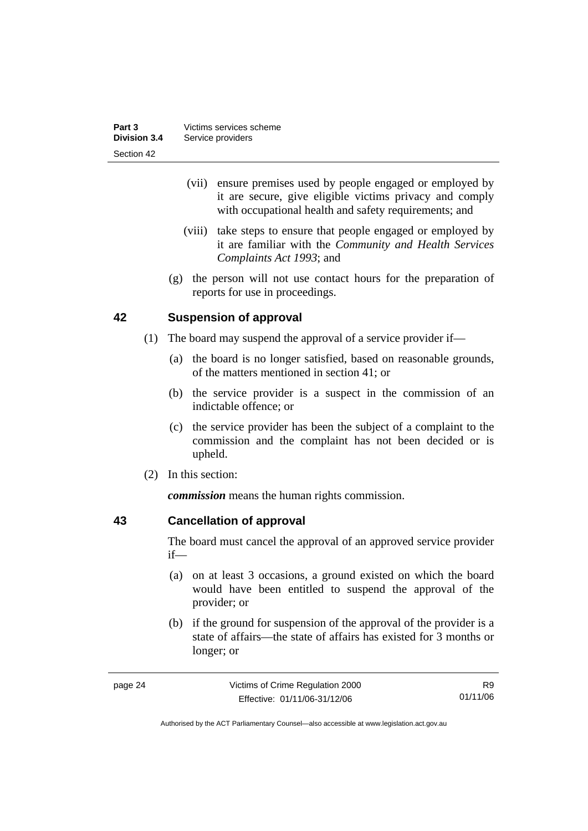| Part 3       | Victims services scheme |
|--------------|-------------------------|
| Division 3.4 | Service providers       |
| Section 42   |                         |

- (vii) ensure premises used by people engaged or employed by it are secure, give eligible victims privacy and comply with occupational health and safety requirements; and
- (viii) take steps to ensure that people engaged or employed by it are familiar with the *Community and Health Services Complaints Act 1993*; and
- (g) the person will not use contact hours for the preparation of reports for use in proceedings.

# **42 Suspension of approval**

- (1) The board may suspend the approval of a service provider if—
	- (a) the board is no longer satisfied, based on reasonable grounds, of the matters mentioned in section 41; or
	- (b) the service provider is a suspect in the commission of an indictable offence; or
	- (c) the service provider has been the subject of a complaint to the commission and the complaint has not been decided or is upheld.
- (2) In this section:

*commission* means the human rights commission.

# **43 Cancellation of approval**

The board must cancel the approval of an approved service provider if—

- (a) on at least 3 occasions, a ground existed on which the board would have been entitled to suspend the approval of the provider; or
- (b) if the ground for suspension of the approval of the provider is a state of affairs—the state of affairs has existed for 3 months or longer; or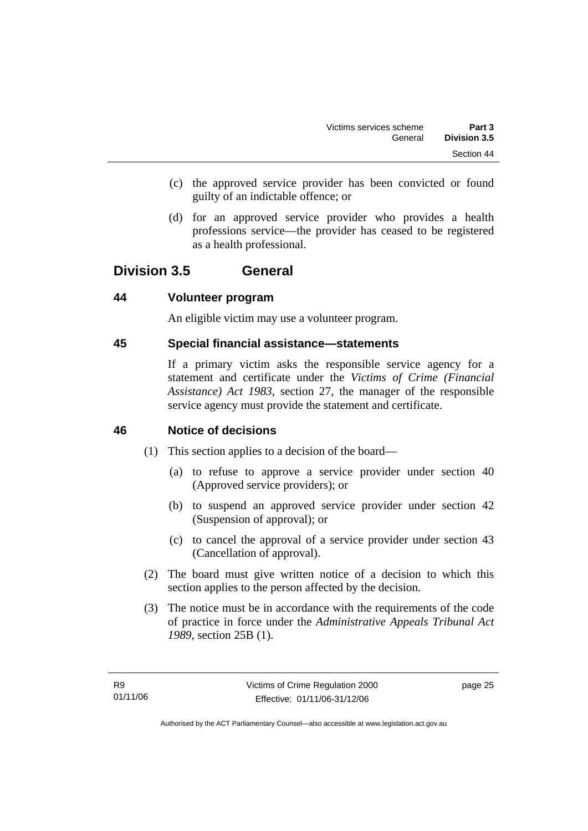- (c) the approved service provider has been convicted or found guilty of an indictable offence; or
- (d) for an approved service provider who provides a health professions service—the provider has ceased to be registered as a health professional.

# **Division 3.5 General**

# **44 Volunteer program**

An eligible victim may use a volunteer program.

# **45 Special financial assistance—statements**

If a primary victim asks the responsible service agency for a statement and certificate under the *Victims of Crime (Financial Assistance) Act 1983*, section 27, the manager of the responsible service agency must provide the statement and certificate.

# **46 Notice of decisions**

- (1) This section applies to a decision of the board—
	- (a) to refuse to approve a service provider under section 40 (Approved service providers); or
	- (b) to suspend an approved service provider under section 42 (Suspension of approval); or
	- (c) to cancel the approval of a service provider under section 43 (Cancellation of approval).
- (2) The board must give written notice of a decision to which this section applies to the person affected by the decision.
- (3) The notice must be in accordance with the requirements of the code of practice in force under the *Administrative Appeals Tribunal Act 1989*, section 25B (1).

page 25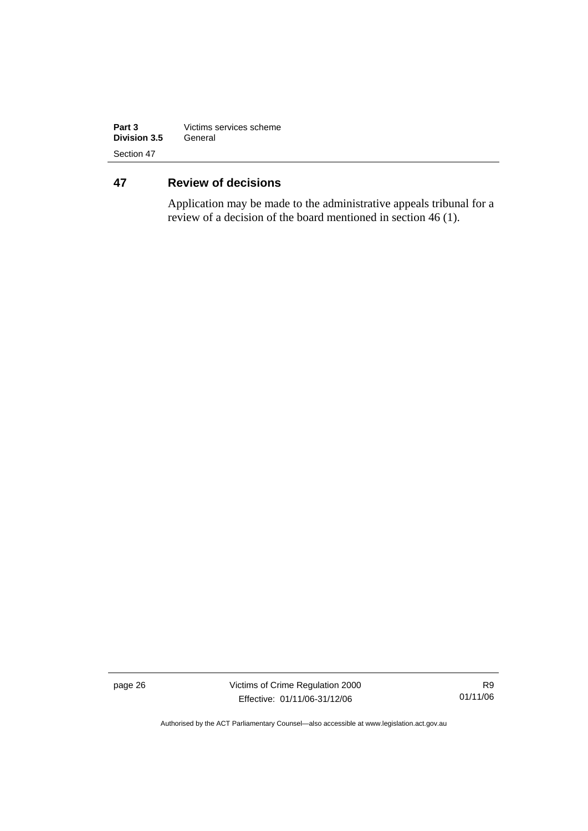| Part 3       | Victims services scheme |  |
|--------------|-------------------------|--|
| Division 3.5 | General                 |  |
| Section 47   |                         |  |

# **47 Review of decisions**

Application may be made to the administrative appeals tribunal for a review of a decision of the board mentioned in section 46 (1).

page 26 Victims of Crime Regulation 2000 Effective: 01/11/06-31/12/06

R9 01/11/06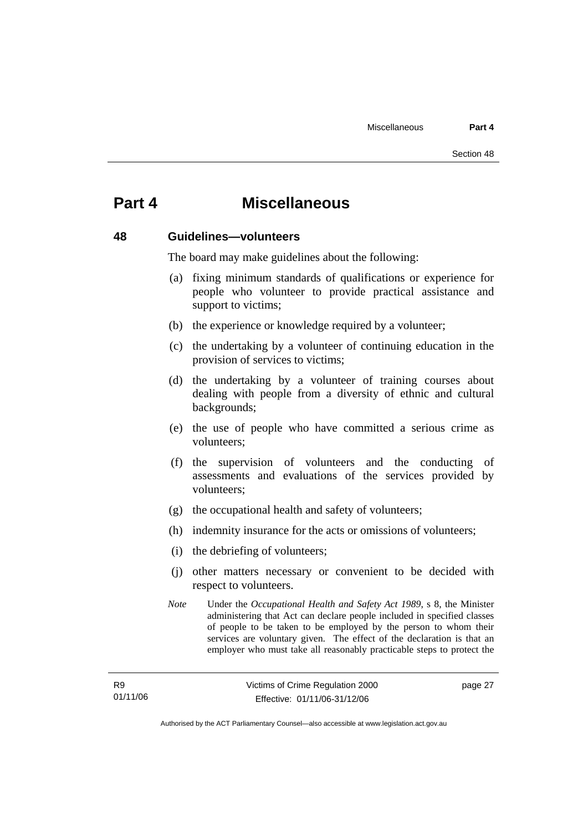# **Part 4 Miscellaneous**

#### **48 Guidelines—volunteers**

The board may make guidelines about the following:

- (a) fixing minimum standards of qualifications or experience for people who volunteer to provide practical assistance and support to victims;
- (b) the experience or knowledge required by a volunteer;
- (c) the undertaking by a volunteer of continuing education in the provision of services to victims;
- (d) the undertaking by a volunteer of training courses about dealing with people from a diversity of ethnic and cultural backgrounds;
- (e) the use of people who have committed a serious crime as volunteers;
- (f) the supervision of volunteers and the conducting of assessments and evaluations of the services provided by volunteers;
- (g) the occupational health and safety of volunteers;
- (h) indemnity insurance for the acts or omissions of volunteers;
- (i) the debriefing of volunteers;
- (j) other matters necessary or convenient to be decided with respect to volunteers.
- *Note* Under the *Occupational Health and Safety Act 1989*, s 8, the Minister administering that Act can declare people included in specified classes of people to be taken to be employed by the person to whom their services are voluntary given. The effect of the declaration is that an employer who must take all reasonably practicable steps to protect the

page 27

Authorised by the ACT Parliamentary Counsel—also accessible at www.legislation.act.gov.au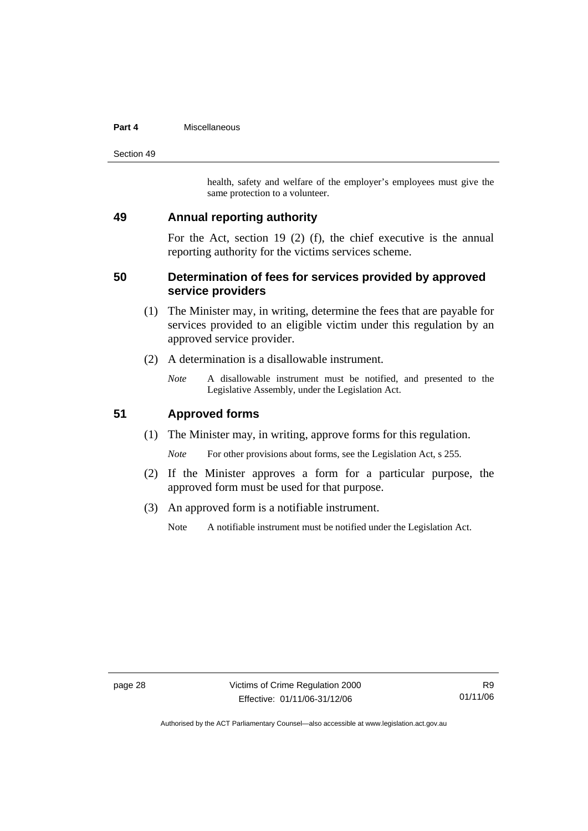#### **Part 4** Miscellaneous

Section 49

health, safety and welfare of the employer's employees must give the same protection to a volunteer.

# **49 Annual reporting authority**

For the Act, section 19 (2) (f), the chief executive is the annual reporting authority for the victims services scheme.

# **50 Determination of fees for services provided by approved service providers**

- (1) The Minister may, in writing, determine the fees that are payable for services provided to an eligible victim under this regulation by an approved service provider.
- (2) A determination is a disallowable instrument.
	- *Note* A disallowable instrument must be notified, and presented to the Legislative Assembly, under the Legislation Act.

# **51 Approved forms**

(1) The Minister may, in writing, approve forms for this regulation.

*Note* For other provisions about forms, see the Legislation Act, s 255.

- (2) If the Minister approves a form for a particular purpose, the approved form must be used for that purpose.
- (3) An approved form is a notifiable instrument.

Note A notifiable instrument must be notified under the Legislation Act.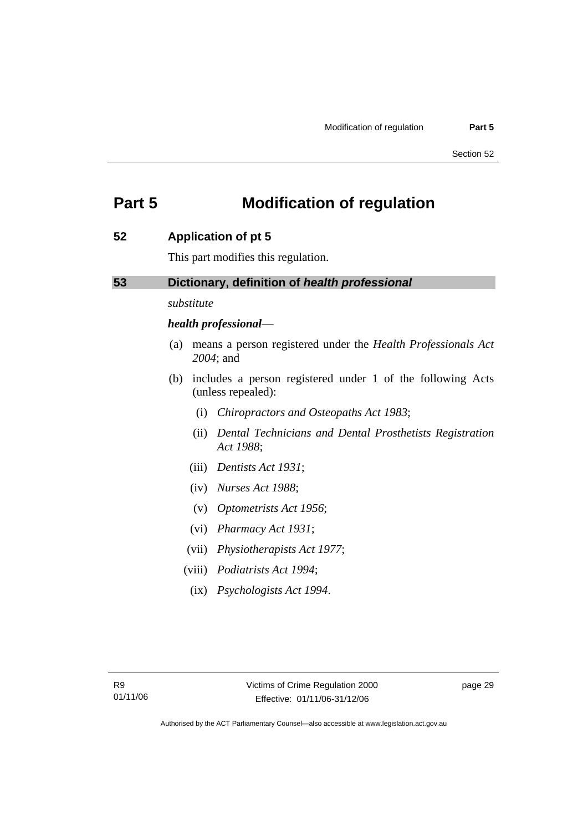# **Part 5 Modification of regulation**

# **52 Application of pt 5**

This part modifies this regulation.

# **53 Dictionary, definition of** *health professional*

*substitute* 

# *health professional*—

- (a) means a person registered under the *Health Professionals Act 2004*; and
- (b) includes a person registered under 1 of the following Acts (unless repealed):
	- (i) *Chiropractors and Osteopaths Act 1983*;
	- (ii) *Dental Technicians and Dental Prosthetists Registration Act 1988*;
	- (iii) *Dentists Act 1931*;
	- (iv) *Nurses Act 1988*;
	- (v) *Optometrists Act 1956*;
	- (vi) *Pharmacy Act 1931*;
	- (vii) *Physiotherapists Act 1977*;
	- (viii) *Podiatrists Act 1994*;
	- (ix) *Psychologists Act 1994*.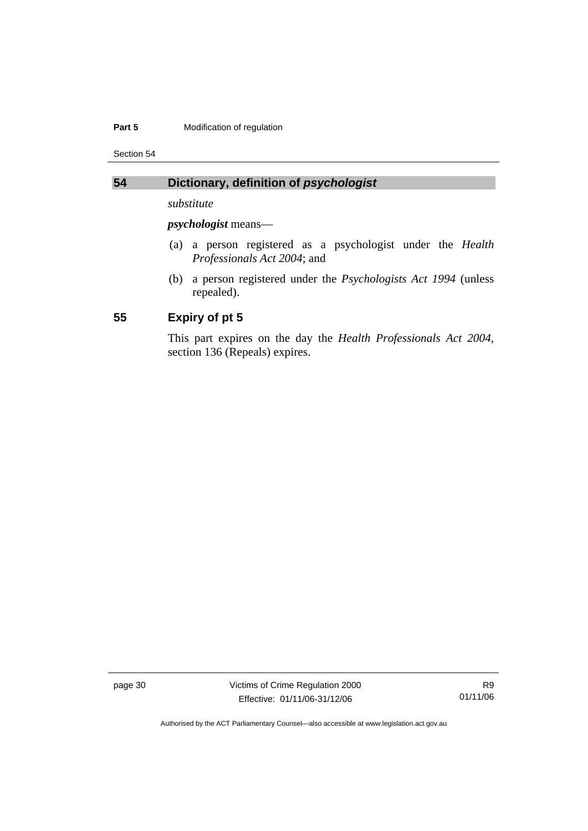#### **Part 5 Modification of regulation**

Section 54

# **54 Dictionary, definition of** *psychologist*

*substitute* 

*psychologist* means—

- (a) a person registered as a psychologist under the *Health Professionals Act 2004*; and
- (b) a person registered under the *Psychologists Act 1994* (unless repealed).

# **55 Expiry of pt 5**

This part expires on the day the *Health Professionals Act 2004*, section 136 (Repeals) expires.

page 30 Victims of Crime Regulation 2000 Effective: 01/11/06-31/12/06

R9 01/11/06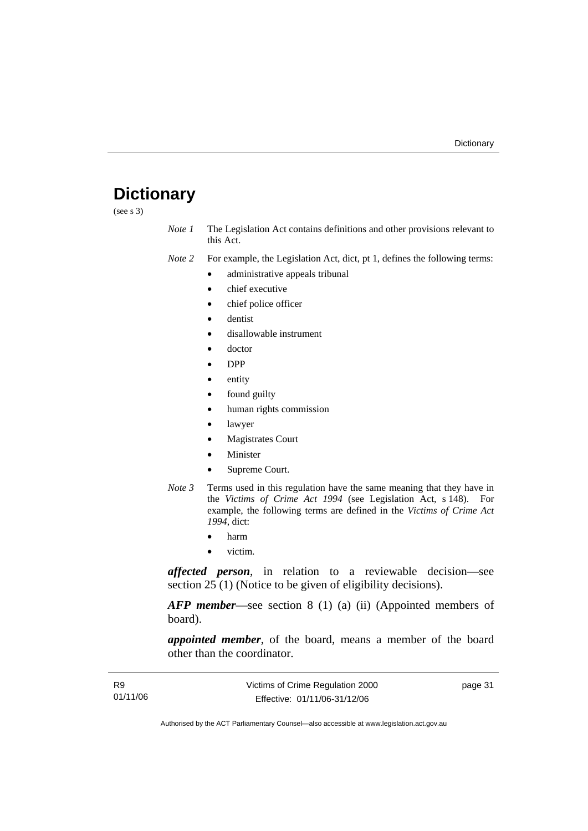# **Dictionary**

(see s 3)

*Note 1* The Legislation Act contains definitions and other provisions relevant to this Act.

*Note 2* For example, the Legislation Act, dict, pt 1, defines the following terms:

- administrative appeals tribunal
- chief executive
- chief police officer
- dentist
- disallowable instrument
- doctor
- DPP
- entity
- found guilty
- human rights commission
- lawyer
- **Magistrates Court**
- **Minister**
- Supreme Court.
- *Note 3* Terms used in this regulation have the same meaning that they have in the *Victims of Crime Act 1994* (see Legislation Act, s 148). For example, the following terms are defined in the *Victims of Crime Act 1994*, dict:
	- harm
	- victim.

*affected person*, in relation to a reviewable decision—see section 25 (1) (Notice to be given of eligibility decisions).

*AFP member*—see section 8 (1) (a) (ii) (Appointed members of board).

*appointed member*, of the board, means a member of the board other than the coordinator.

| <b>R9</b> | Victims of Crime Regulation 2000 | page 31 |
|-----------|----------------------------------|---------|
| 01/11/06  | Effective: 01/11/06-31/12/06     |         |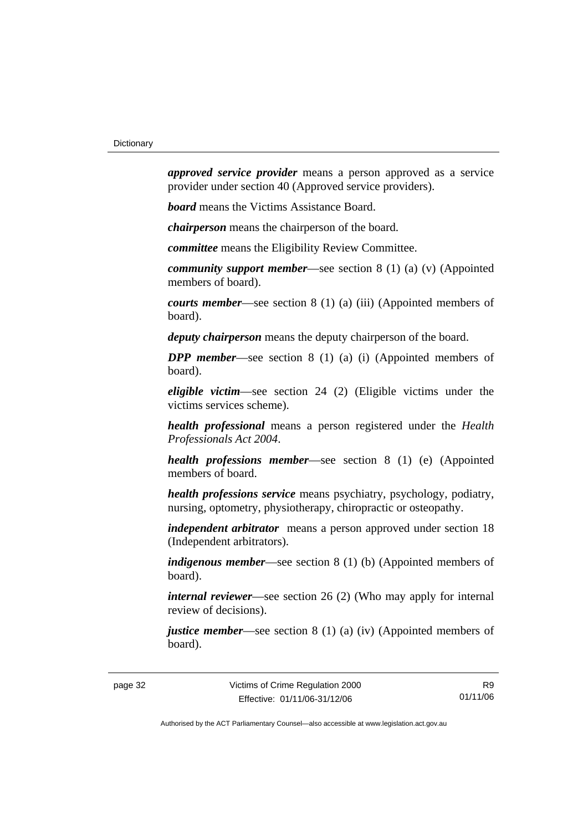*approved service provider* means a person approved as a service provider under section 40 (Approved service providers).

*board* means the Victims Assistance Board.

*chairperson* means the chairperson of the board.

*committee* means the Eligibility Review Committee.

*community support member*—see section 8 (1) (a) (v) (Appointed members of board).

*courts member*—see section 8 (1) (a) (iii) (Appointed members of board).

*deputy chairperson* means the deputy chairperson of the board.

*DPP member*—see section 8 (1) (a) (i) (Appointed members of board).

*eligible victim*—see section 24 (2) (Eligible victims under the victims services scheme).

*health professional* means a person registered under the *Health Professionals Act 2004*.

*health professions member*—see section 8 (1) (e) (Appointed members of board.

*health professions service* means psychiatry, psychology, podiatry, nursing, optometry, physiotherapy, chiropractic or osteopathy.

*independent arbitrator* means a person approved under section 18 (Independent arbitrators).

*indigenous member*—see section 8 (1) (b) (Appointed members of board).

*internal reviewer*—see section 26 (2) (Who may apply for internal review of decisions).

*justice member*—see section 8 (1) (a) (iv) (Appointed members of board).

R9 01/11/06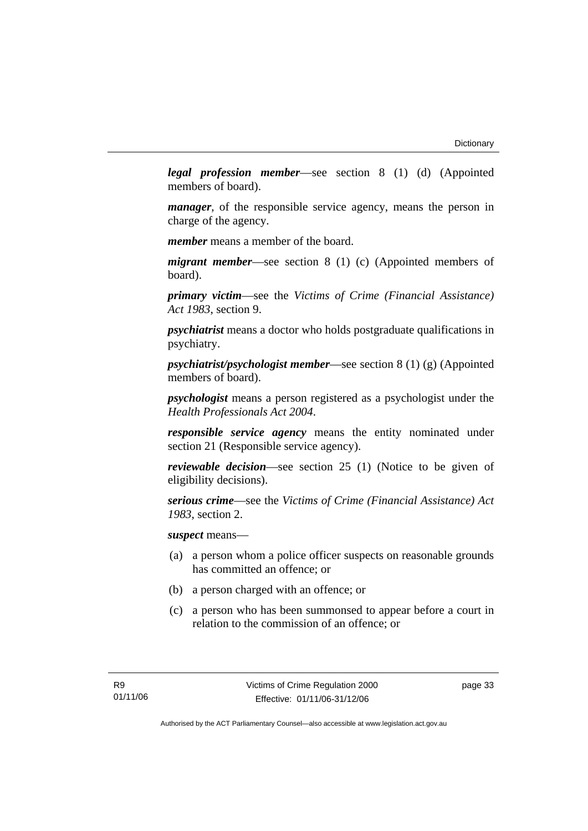*legal profession member*—see section 8 (1) (d) (Appointed members of board).

*manager*, of the responsible service agency, means the person in charge of the agency.

*member* means a member of the board.

*migrant member*—see section 8 (1) (c) (Appointed members of board).

*primary victim*—see the *Victims of Crime (Financial Assistance) Act 1983*, section 9.

*psychiatrist* means a doctor who holds postgraduate qualifications in psychiatry.

*psychiatrist/psychologist member*—see section 8 (1) (g) (Appointed members of board).

*psychologist* means a person registered as a psychologist under the *Health Professionals Act 2004*.

*responsible service agency* means the entity nominated under section 21 (Responsible service agency).

*reviewable decision*—see section 25 (1) (Notice to be given of eligibility decisions).

*serious crime*—see the *Victims of Crime (Financial Assistance) Act 1983*, section 2.

*suspect* means—

- (a) a person whom a police officer suspects on reasonable grounds has committed an offence; or
- (b) a person charged with an offence; or
- (c) a person who has been summonsed to appear before a court in relation to the commission of an offence; or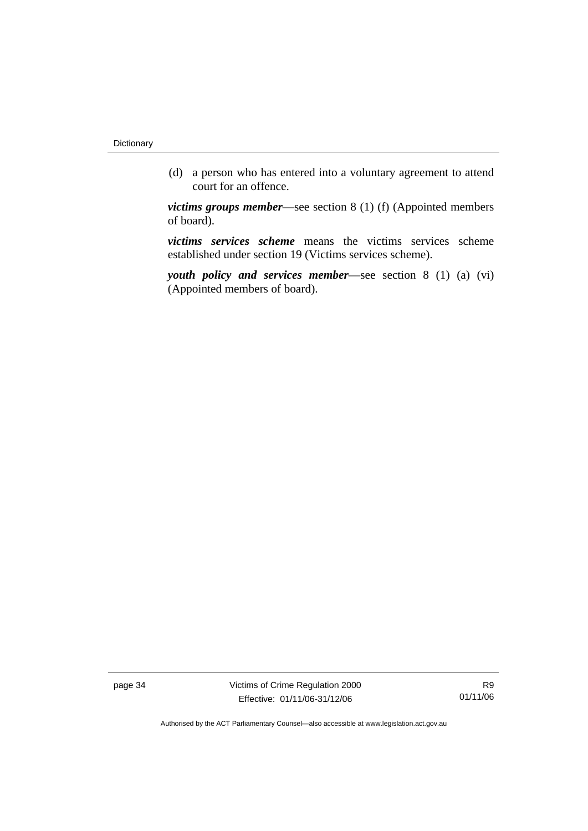(d) a person who has entered into a voluntary agreement to attend court for an offence.

*victims groups member*—see section 8 (1) (f) (Appointed members of board).

*victims services scheme* means the victims services scheme established under section 19 (Victims services scheme).

*youth policy and services member*—see section 8 (1) (a) (vi) (Appointed members of board).

page 34 Victims of Crime Regulation 2000 Effective: 01/11/06-31/12/06

R9 01/11/06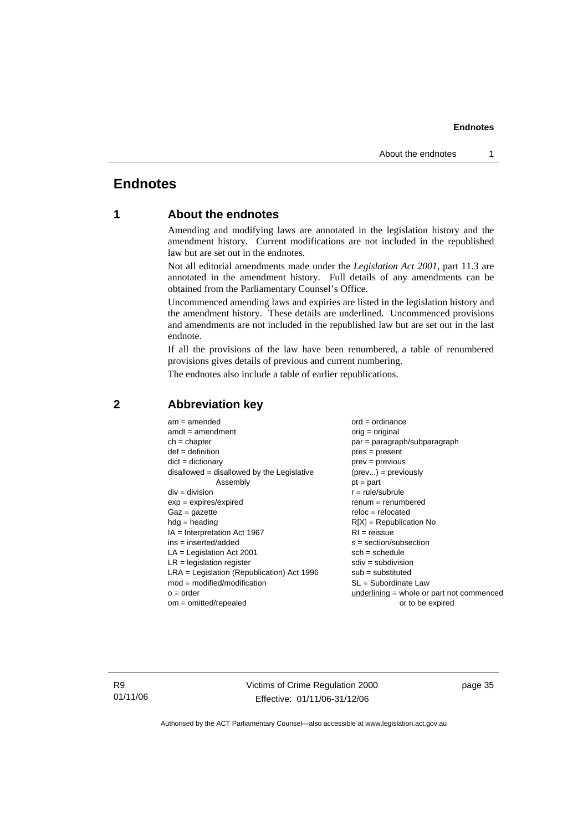# **Endnotes**

# **1 About the endnotes**

Amending and modifying laws are annotated in the legislation history and the amendment history. Current modifications are not included in the republished law but are set out in the endnotes.

Not all editorial amendments made under the *Legislation Act 2001*, part 11.3 are annotated in the amendment history. Full details of any amendments can be obtained from the Parliamentary Counsel's Office.

Uncommenced amending laws and expiries are listed in the legislation history and the amendment history. These details are underlined. Uncommenced provisions and amendments are not included in the republished law but are set out in the last endnote.

If all the provisions of the law have been renumbered, a table of renumbered provisions gives details of previous and current numbering.

The endnotes also include a table of earlier republications.

| $am = amended$                               | $ord = ordinance$                         |
|----------------------------------------------|-------------------------------------------|
| $amdt = amendment$                           | $orig = original$                         |
| $ch = chapter$                               | $par = paragraph/subparagraph$            |
| $def = definition$                           | $pres = present$                          |
| $dict = dictionary$                          | $prev = previous$                         |
| $disallowed = disallowed by the Legislative$ | $(\text{prev}) = \text{previously}$       |
| Assembly                                     | $pt = part$                               |
| $div = division$                             | $r = rule/subrule$                        |
| $exp = expires/expired$                      | $remum = renumbered$                      |
| $Gaz = gazette$                              | $reloc = relocated$                       |
| $hdg =$ heading                              | $R[X]$ = Republication No                 |
| $IA = Interpretation Act 1967$               | $RI = reissue$                            |
| $ins = inserted/added$                       | $s = section/subsection$                  |
| $LA =$ Legislation Act 2001                  | $sch = schedule$                          |
| $LR =$ legislation register                  | $sdiv = subdivision$                      |
| $LRA =$ Legislation (Republication) Act 1996 | $sub =$ substituted                       |
| $mod = modified/modification$                | $SL = Subordinate$ Law                    |
| $o = order$                                  | underlining = whole or part not commenced |
| $om = omitted/repealed$                      | or to be expired                          |
|                                              |                                           |

#### **2 Abbreviation key**

R9 01/11/06 Victims of Crime Regulation 2000 Effective: 01/11/06-31/12/06

page 35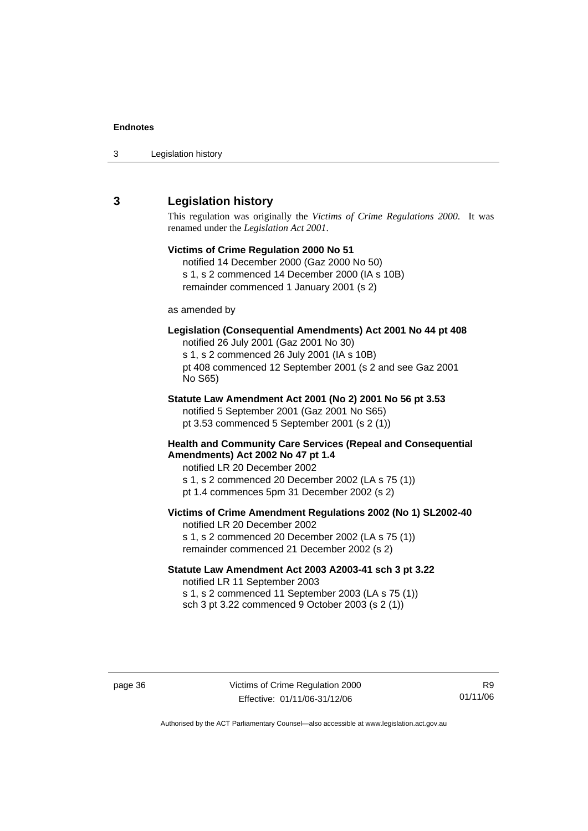| 3 | Legislation history |  |
|---|---------------------|--|
|---|---------------------|--|

# **3 Legislation history**

This regulation was originally the *Victims of Crime Regulations 2000*. It was renamed under the *Legislation Act 2001*.

# **Victims of Crime Regulation 2000 No 51**  notified 14 December 2000 (Gaz 2000 No 50) s 1, s 2 commenced 14 December 2000 (IA s 10B) remainder commenced 1 January 2001 (s 2) as amended by **Legislation (Consequential Amendments) Act 2001 No 44 pt 408**  notified 26 July 2001 (Gaz 2001 No 30) s 1, s 2 commenced 26 July 2001 (IA s 10B) pt 408 commenced 12 September 2001 (s 2 and see Gaz 2001 No S65) **Statute Law Amendment Act 2001 (No 2) 2001 No 56 pt 3.53**  notified 5 September 2001 (Gaz 2001 No S65) pt 3.53 commenced 5 September 2001 (s 2 (1)) **Health and Community Care Services (Repeal and Consequential Amendments) Act 2002 No 47 pt 1.4**  notified LR 20 December 2002 s 1, s 2 commenced 20 December 2002 (LA s 75 (1)) pt 1.4 commences 5pm 31 December 2002 (s 2) **Victims of Crime Amendment Regulations 2002 (No 1) SL2002-40**  notified LR 20 December 2002 s 1, s 2 commenced 20 December 2002 (LA s 75 (1)) remainder commenced 21 December 2002 (s 2) **Statute Law Amendment Act 2003 A2003-41 sch 3 pt 3.22**  notified LR 11 September 2003 s 1, s 2 commenced 11 September 2003 (LA s 75 (1))

sch 3 pt 3.22 commenced 9 October 2003 (s 2 (1))

R9 01/11/06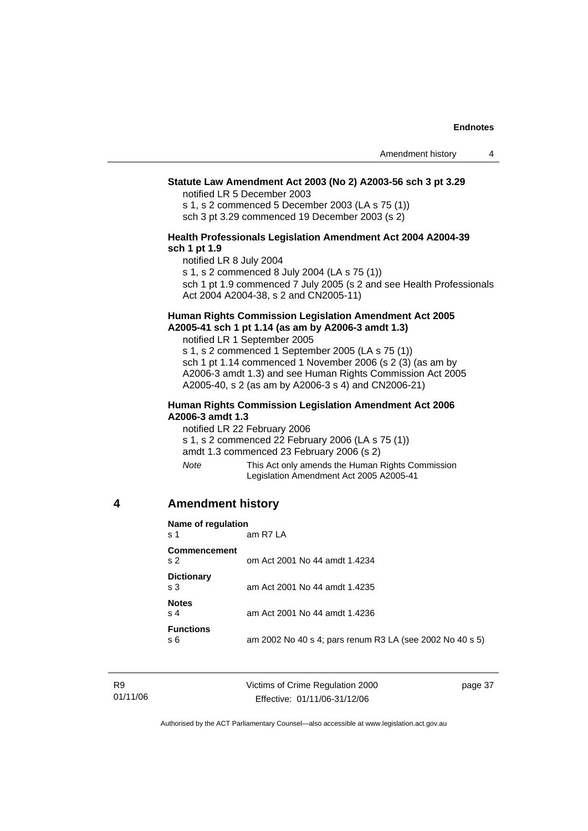#### **Statute Law Amendment Act 2003 (No 2) A2003-56 sch 3 pt 3.29**

notified LR 5 December 2003

s 1, s 2 commenced 5 December 2003 (LA s 75 (1)) sch 3 pt 3.29 commenced 19 December 2003 (s 2)

#### **Health Professionals Legislation Amendment Act 2004 A2004-39 sch 1 pt 1.9**

notified LR 8 July 2004

s 1, s 2 commenced 8 July 2004 (LA s 75 (1))

sch 1 pt 1.9 commenced 7 July 2005 (s 2 and see Health Professionals Act 2004 A2004-38, s 2 and CN2005-11)

#### **Human Rights Commission Legislation Amendment Act 2005 A2005-41 sch 1 pt 1.14 (as am by A2006-3 amdt 1.3)**

notified LR 1 September 2005 s 1, s 2 commenced 1 September 2005 (LA s 75 (1)) sch 1 pt 1.14 commenced 1 November 2006 (s 2 (3) (as am by A2006-3 amdt 1.3) and see Human Rights Commission Act 2005 A2005-40, s 2 (as am by A2006-3 s 4) and CN2006-21)

#### **Human Rights Commission Legislation Amendment Act 2006 A2006-3 amdt 1.3**

notified LR 22 February 2006

s 1, s 2 commenced 22 February 2006 (LA s 75 (1))

amdt 1.3 commenced 23 February 2006 (s 2)

*Note* This Act only amends the Human Rights Commission Legislation Amendment Act 2005 A2005-41

# **4 Amendment history**

| Name of regulation<br>s 1             | am R7 LA                                                 |
|---------------------------------------|----------------------------------------------------------|
| <b>Commencement</b><br>s <sub>2</sub> | om Act 2001 No 44 amdt 1.4234                            |
| <b>Dictionary</b><br>s 3              | am Act 2001 No 44 amdt 1.4235                            |
| <b>Notes</b><br>s <sub>4</sub>        | am Act 2001 No 44 amdt 1.4236                            |
| <b>Functions</b><br>s 6               | am 2002 No 40 s 4; pars renum R3 LA (see 2002 No 40 s 5) |

Victims of Crime Regulation 2000 Effective: 01/11/06-31/12/06

page 37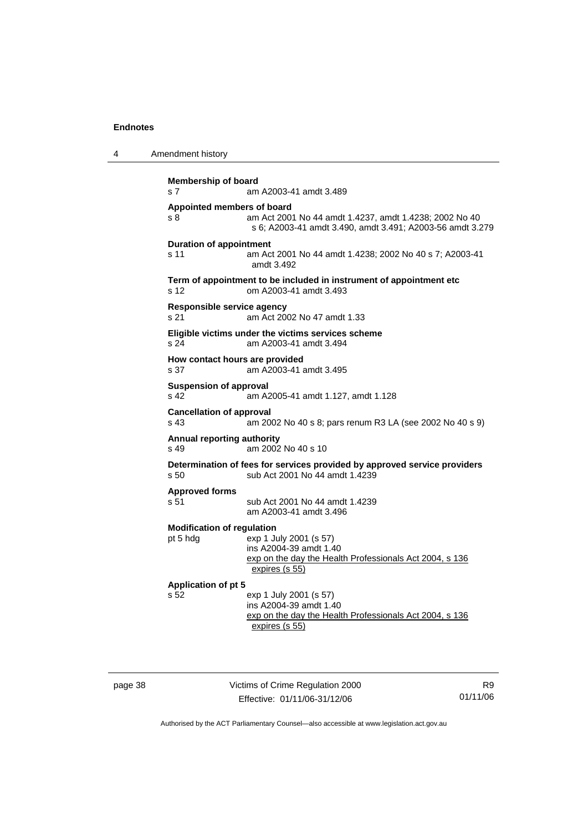| <b>Membership of board</b><br>s <sub>7</sub><br>am A2003-41 amdt 3.489<br>Appointed members of board<br>s 8<br>am Act 2001 No 44 amdt 1.4237, amdt 1.4238; 2002 No 40<br>s 6; A2003-41 amdt 3.490, amdt 3.491; A2003-56 amdt 3.279<br><b>Duration of appointment</b><br>s 11<br>am Act 2001 No 44 amdt 1.4238; 2002 No 40 s 7; A2003-41<br>amdt 3.492<br>Term of appointment to be included in instrument of appointment etc<br>om A2003-41 amdt 3.493<br>s <sub>12</sub> | Amendment history |  |  |
|---------------------------------------------------------------------------------------------------------------------------------------------------------------------------------------------------------------------------------------------------------------------------------------------------------------------------------------------------------------------------------------------------------------------------------------------------------------------------|-------------------|--|--|
|                                                                                                                                                                                                                                                                                                                                                                                                                                                                           |                   |  |  |
|                                                                                                                                                                                                                                                                                                                                                                                                                                                                           |                   |  |  |
|                                                                                                                                                                                                                                                                                                                                                                                                                                                                           |                   |  |  |
|                                                                                                                                                                                                                                                                                                                                                                                                                                                                           |                   |  |  |
| Responsible service agency<br>am Act 2002 No 47 amdt 1.33<br>s 21                                                                                                                                                                                                                                                                                                                                                                                                         |                   |  |  |
| Eligible victims under the victims services scheme<br>s <sub>24</sub><br>am A2003-41 amdt 3.494                                                                                                                                                                                                                                                                                                                                                                           |                   |  |  |
| How contact hours are provided<br>am A2003-41 amdt 3.495<br>s <sub>37</sub>                                                                                                                                                                                                                                                                                                                                                                                               |                   |  |  |
| <b>Suspension of approval</b><br>s 42<br>am A2005-41 amdt 1.127, amdt 1.128                                                                                                                                                                                                                                                                                                                                                                                               |                   |  |  |
| <b>Cancellation of approval</b><br>s 43<br>am 2002 No 40 s 8; pars renum R3 LA (see 2002 No 40 s 9)                                                                                                                                                                                                                                                                                                                                                                       |                   |  |  |
| <b>Annual reporting authority</b><br>am 2002 No 40 s 10<br>$s$ 49                                                                                                                                                                                                                                                                                                                                                                                                         |                   |  |  |
| Determination of fees for services provided by approved service providers<br>sub Act 2001 No 44 amdt 1.4239<br>s 50                                                                                                                                                                                                                                                                                                                                                       |                   |  |  |
| <b>Approved forms</b><br>s 51<br>sub Act 2001 No 44 amdt 1.4239<br>am A2003-41 amdt 3.496                                                                                                                                                                                                                                                                                                                                                                                 |                   |  |  |
| <b>Modification of regulation</b><br>exp 1 July 2001 (s 57)<br>pt 5 hdg<br>ins A2004-39 amdt 1.40<br>exp on the day the Health Professionals Act 2004, s 136<br>expires (s 55)                                                                                                                                                                                                                                                                                            |                   |  |  |
| <b>Application of pt 5</b>                                                                                                                                                                                                                                                                                                                                                                                                                                                |                   |  |  |
| s 52<br>exp 1 July 2001 (s 57)<br>ins A2004-39 amdt 1.40<br>exp on the day the Health Professionals Act 2004, s 136<br>expires (s 55)                                                                                                                                                                                                                                                                                                                                     |                   |  |  |

page 38 Victims of Crime Regulation 2000 Effective: 01/11/06-31/12/06

R9 01/11/06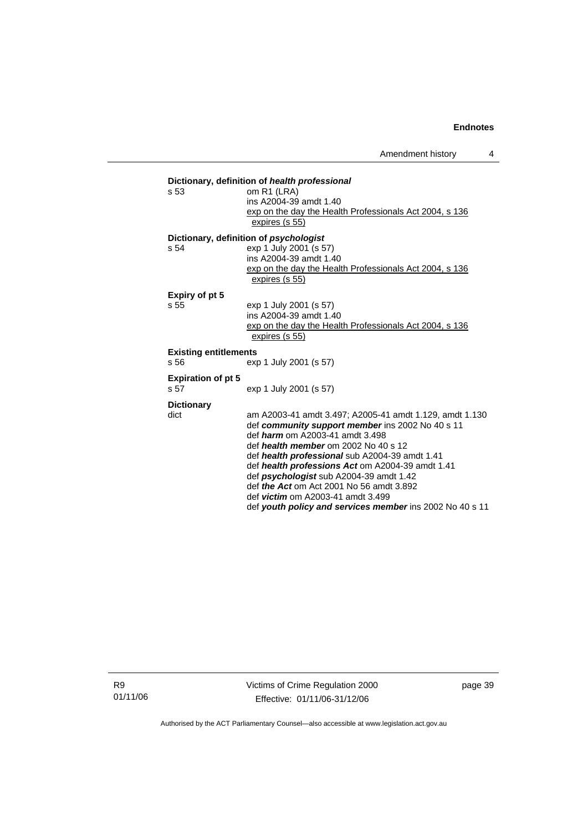| s <sub>53</sub>              | Dictionary, definition of health professional<br>om R1 (LRA)<br>ins A2004-39 amdt 1.40               |  |
|------------------------------|------------------------------------------------------------------------------------------------------|--|
|                              | exp on the day the Health Professionals Act 2004, s 136<br>expires (s 55)                            |  |
|                              | Dictionary, definition of <i>psychologist</i>                                                        |  |
| s <sub>54</sub>              | exp 1 July 2001 (s 57)                                                                               |  |
|                              | ins A2004-39 amdt 1.40                                                                               |  |
|                              | exp on the day the Health Professionals Act 2004, s 136<br>expires (s 55)                            |  |
| Expiry of pt 5               |                                                                                                      |  |
| s.55                         | exp 1 July 2001 (s 57)                                                                               |  |
|                              | ins A2004-39 amdt 1.40                                                                               |  |
|                              | exp on the day the Health Professionals Act 2004, s 136<br>expires (s 55)                            |  |
| <b>Existing entitlements</b> |                                                                                                      |  |
| s.56                         | exp 1 July 2001 (s 57)                                                                               |  |
| <b>Expiration of pt 5</b>    |                                                                                                      |  |
| s.57                         | exp 1 July 2001 (s 57)                                                                               |  |
| <b>Dictionary</b>            |                                                                                                      |  |
| dict                         | am A2003-41 amdt 3.497; A2005-41 amdt 1.129, amdt 1.130                                              |  |
|                              | def community support member ins 2002 No 40 s 11<br>def <i>harm</i> om A2003-41 amdt 3.498           |  |
|                              | def health member om $2002$ No $40 s 12$                                                             |  |
|                              | def health professional sub A2004-39 amdt 1.41                                                       |  |
|                              | def health professions Act om A2004-39 amdt 1.41                                                     |  |
|                              | def psychologist sub A2004-39 amdt 1.42                                                              |  |
|                              | def <i>the Act</i> om Act 2001 No 56 amdt 3.892                                                      |  |
|                              | def <i>victim</i> om A2003-41 amdt 3.499<br>def youth policy and services member ins 2002 No 40 s 11 |  |
|                              |                                                                                                      |  |

R9 01/11/06 Victims of Crime Regulation 2000 Effective: 01/11/06-31/12/06

page 39